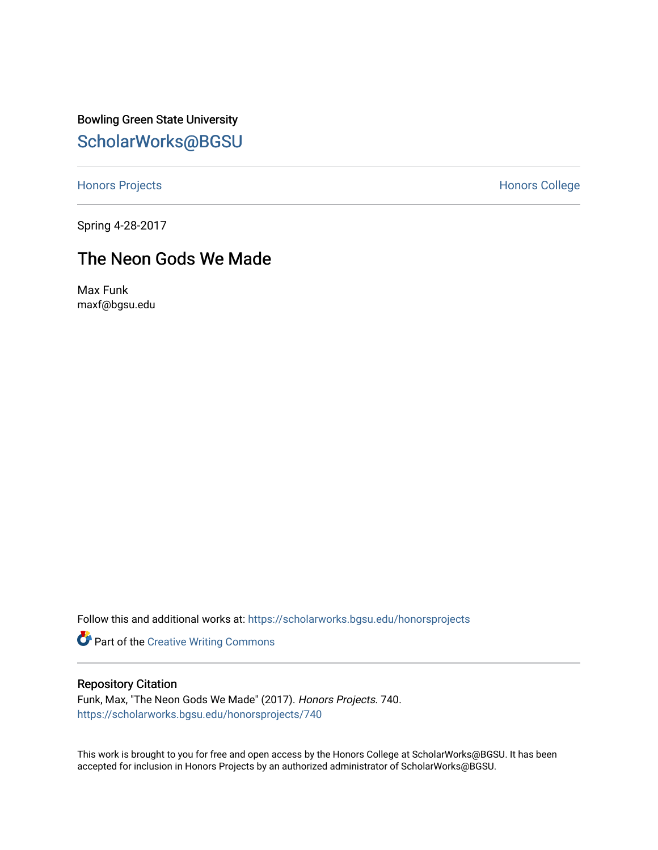Bowling Green State University [ScholarWorks@BGSU](https://scholarworks.bgsu.edu/) 

[Honors Projects](https://scholarworks.bgsu.edu/honorsprojects) **Honors** College

Spring 4-28-2017

## The Neon Gods We Made

Max Funk maxf@bgsu.edu

Follow this and additional works at: [https://scholarworks.bgsu.edu/honorsprojects](https://scholarworks.bgsu.edu/honorsprojects?utm_source=scholarworks.bgsu.edu%2Fhonorsprojects%2F740&utm_medium=PDF&utm_campaign=PDFCoverPages) 

Part of the [Creative Writing Commons](http://network.bepress.com/hgg/discipline/574?utm_source=scholarworks.bgsu.edu%2Fhonorsprojects%2F740&utm_medium=PDF&utm_campaign=PDFCoverPages) 

#### Repository Citation

Funk, Max, "The Neon Gods We Made" (2017). Honors Projects. 740. [https://scholarworks.bgsu.edu/honorsprojects/740](https://scholarworks.bgsu.edu/honorsprojects/740?utm_source=scholarworks.bgsu.edu%2Fhonorsprojects%2F740&utm_medium=PDF&utm_campaign=PDFCoverPages) 

This work is brought to you for free and open access by the Honors College at ScholarWorks@BGSU. It has been accepted for inclusion in Honors Projects by an authorized administrator of ScholarWorks@BGSU.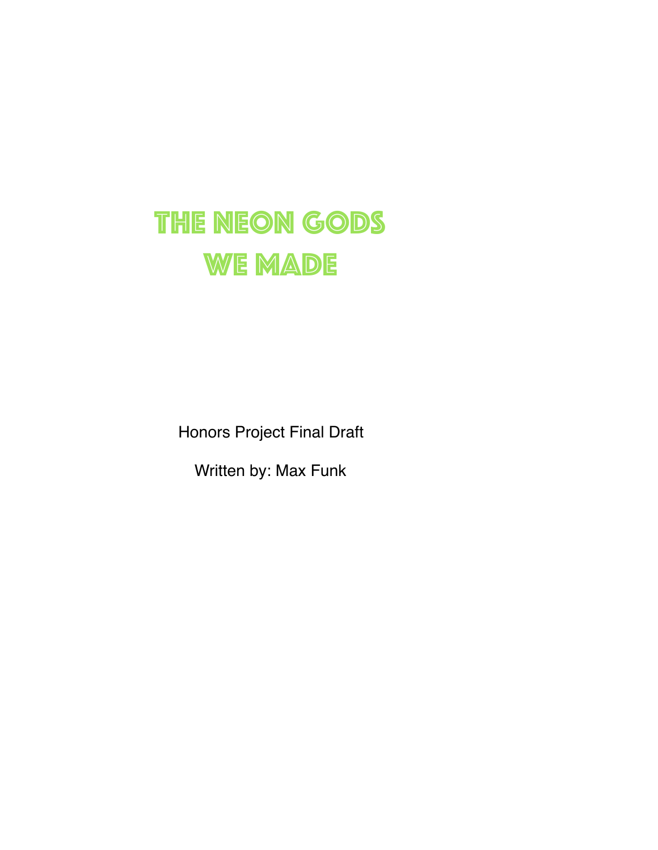## The Neon Gods WE MADE

Honors Project Final Draft

Written by: Max Funk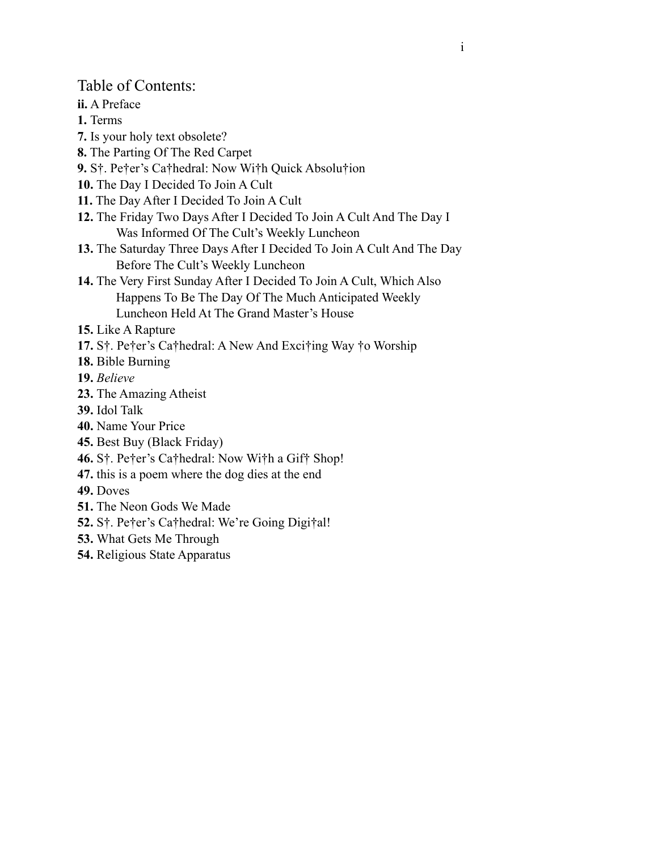Table of Contents:

**ii.** A Preface

**1.** Terms

- **7.** Is your holy text obsolete?
- **8.** The Parting Of The Red Carpet
- **9.** S†. Pe†er's Ca†hedral: Now Wi†h Quick Absolu†ion
- **10.** The Day I Decided To Join A Cult
- **11.** The Day After I Decided To Join A Cult
- **12.** The Friday Two Days After I Decided To Join A Cult And The Day I Was Informed Of The Cult's Weekly Luncheon
- **13.** The Saturday Three Days After I Decided To Join A Cult And The Day Before The Cult's Weekly Luncheon
- **14.** The Very First Sunday After I Decided To Join A Cult, Which Also Happens To Be The Day Of The Much Anticipated Weekly Luncheon Held At The Grand Master's House

**15.** Like A Rapture

- **17.** S†. Pe†er's Ca†hedral: A New And Exci†ing Way †o Worship
- **18.** Bible Burning

**19.** *Believe*

- **23.** The Amazing Atheist
- **39.** Idol Talk
- **40.** Name Your Price
- **45.** Best Buy (Black Friday)
- **46.** S†. Pe†er's Ca†hedral: Now Wi†h a Gif† Shop!
- **47.** this is a poem where the dog dies at the end

**49.** Doves

- **51.** The Neon Gods We Made
- **52.** S†. Pe†er's Ca†hedral: We're Going Digi†al!
- **53.** What Gets Me Through
- **54.** Religious State Apparatus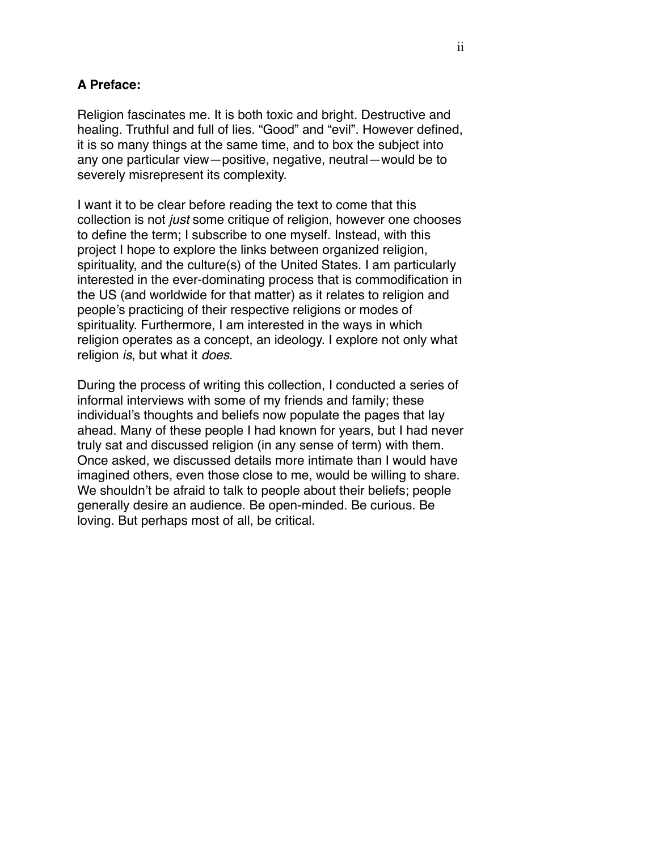#### **A Preface:**

Religion fascinates me. It is both toxic and bright. Destructive and healing. Truthful and full of lies. "Good" and "evil". However defined, it is so many things at the same time, and to box the subject into any one particular view—positive, negative, neutral—would be to severely misrepresent its complexity.

I want it to be clear before reading the text to come that this collection is not *just* some critique of religion, however one chooses to define the term; I subscribe to one myself. Instead, with this project I hope to explore the links between organized religion, spirituality, and the culture(s) of the United States. I am particularly interested in the ever-dominating process that is commodification in the US (and worldwide for that matter) as it relates to religion and people's practicing of their respective religions or modes of spirituality. Furthermore, I am interested in the ways in which religion operates as a concept, an ideology. I explore not only what religion *is*, but what it *does*.

During the process of writing this collection, I conducted a series of informal interviews with some of my friends and family; these individual's thoughts and beliefs now populate the pages that lay ahead. Many of these people I had known for years, but I had never truly sat and discussed religion (in any sense of term) with them. Once asked, we discussed details more intimate than I would have imagined others, even those close to me, would be willing to share. We shouldn't be afraid to talk to people about their beliefs; people generally desire an audience. Be open-minded. Be curious. Be loving. But perhaps most of all, be critical.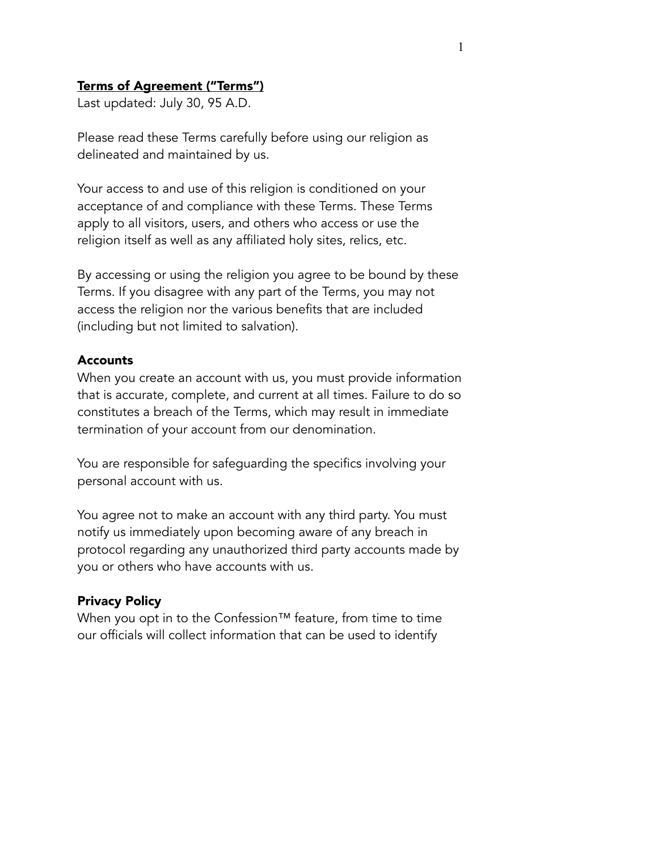### Terms of Agreement ("Terms")

Last updated: July 30, 95 A.D.

Please read these Terms carefully before using our religion as delineated and maintained by us.

Your access to and use of this religion is conditioned on your acceptance of and compliance with these Terms. These Terms apply to all visitors, users, and others who access or use the religion itself as well as any affiliated holy sites, relics, etc.

By accessing or using the religion you agree to be bound by these Terms. If you disagree with any part of the Terms, you may not access the religion nor the various benefits that are included (including but not limited to salvation).

#### Accounts

When you create an account with us, you must provide information that is accurate, complete, and current at all times. Failure to do so constitutes a breach of the Terms, which may result in immediate termination of your account from our denomination.

You are responsible for safeguarding the specifics involving your personal account with us.

You agree not to make an account with any third party. You must notify us immediately upon becoming aware of any breach in protocol regarding any unauthorized third party accounts made by you or others who have accounts with us.

#### Privacy Policy

When you opt in to the Confession™ feature, from time to time our officials will collect information that can be used to identify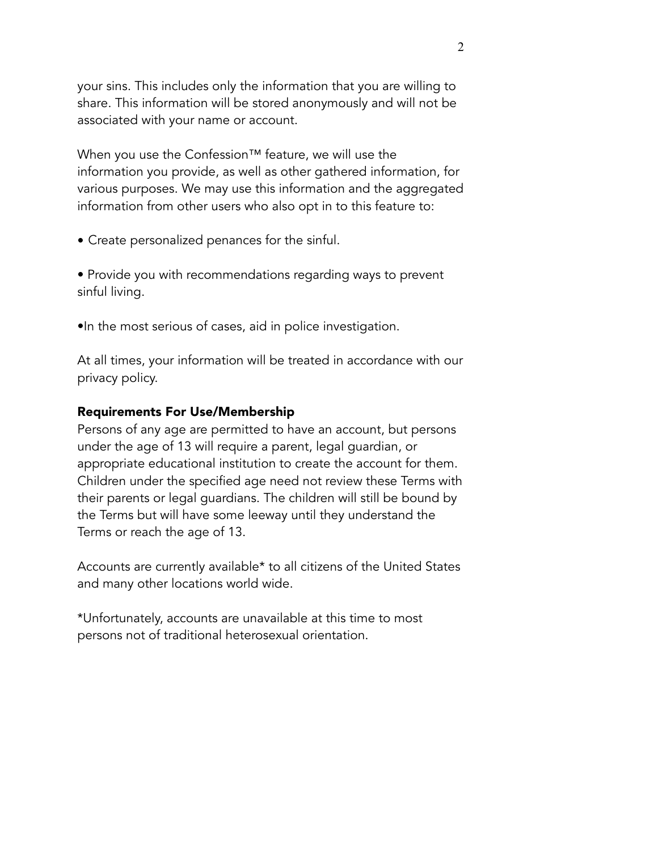your sins. This includes only the information that you are willing to share. This information will be stored anonymously and will not be associated with your name or account.

When you use the Confession™ feature, we will use the information you provide, as well as other gathered information, for various purposes. We may use this information and the aggregated information from other users who also opt in to this feature to:

- Create personalized penances for the sinful.
- Provide you with recommendations regarding ways to prevent sinful living.
- •In the most serious of cases, aid in police investigation.

At all times, your information will be treated in accordance with our privacy policy.

#### Requirements For Use/Membership

Persons of any age are permitted to have an account, but persons under the age of 13 will require a parent, legal guardian, or appropriate educational institution to create the account for them. Children under the specified age need not review these Terms with their parents or legal guardians. The children will still be bound by the Terms but will have some leeway until they understand the Terms or reach the age of 13.

Accounts are currently available\* to all citizens of the United States and many other locations world wide.

\*Unfortunately, accounts are unavailable at this time to most persons not of traditional heterosexual orientation.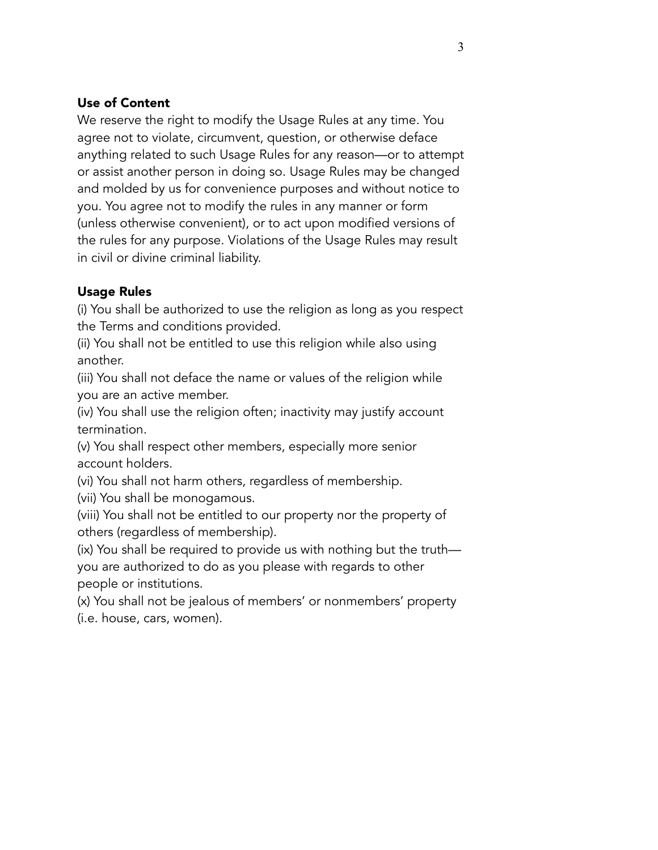### Use of Content

We reserve the right to modify the Usage Rules at any time. You agree not to violate, circumvent, question, or otherwise deface anything related to such Usage Rules for any reason—or to attempt or assist another person in doing so. Usage Rules may be changed and molded by us for convenience purposes and without notice to you. You agree not to modify the rules in any manner or form (unless otherwise convenient), or to act upon modified versions of the rules for any purpose. Violations of the Usage Rules may result in civil or divine criminal liability.

## Usage Rules

(i) You shall be authorized to use the religion as long as you respect the Terms and conditions provided.

(ii) You shall not be entitled to use this religion while also using another.

(iii) You shall not deface the name or values of the religion while you are an active member.

(iv) You shall use the religion often; inactivity may justify account termination.

(v) You shall respect other members, especially more senior account holders.

(vi) You shall not harm others, regardless of membership.

(vii) You shall be monogamous.

(viii) You shall not be entitled to our property nor the property of others (regardless of membership).

(ix) You shall be required to provide us with nothing but the truth you are authorized to do as you please with regards to other people or institutions.

(x) You shall not be jealous of members' or nonmembers' property (i.e. house, cars, women).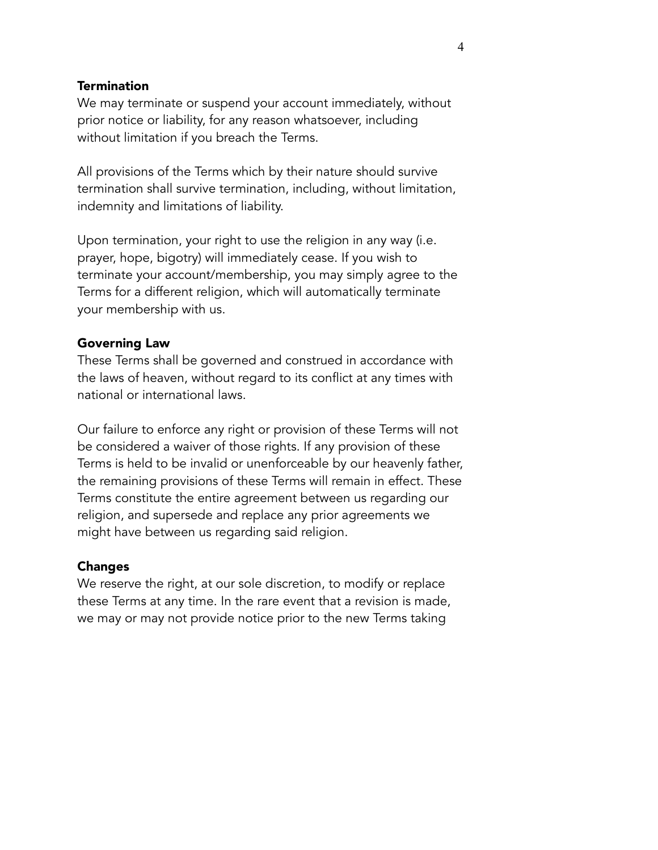#### **Termination**

We may terminate or suspend your account immediately, without prior notice or liability, for any reason whatsoever, including without limitation if you breach the Terms.

All provisions of the Terms which by their nature should survive termination shall survive termination, including, without limitation, indemnity and limitations of liability.

Upon termination, your right to use the religion in any way (i.e. prayer, hope, bigotry) will immediately cease. If you wish to terminate your account/membership, you may simply agree to the Terms for a different religion, which will automatically terminate your membership with us.

#### Governing Law

These Terms shall be governed and construed in accordance with the laws of heaven, without regard to its conflict at any times with national or international laws.

Our failure to enforce any right or provision of these Terms will not be considered a waiver of those rights. If any provision of these Terms is held to be invalid or unenforceable by our heavenly father, the remaining provisions of these Terms will remain in effect. These Terms constitute the entire agreement between us regarding our religion, and supersede and replace any prior agreements we might have between us regarding said religion.

#### Changes

We reserve the right, at our sole discretion, to modify or replace these Terms at any time. In the rare event that a revision is made, we may or may not provide notice prior to the new Terms taking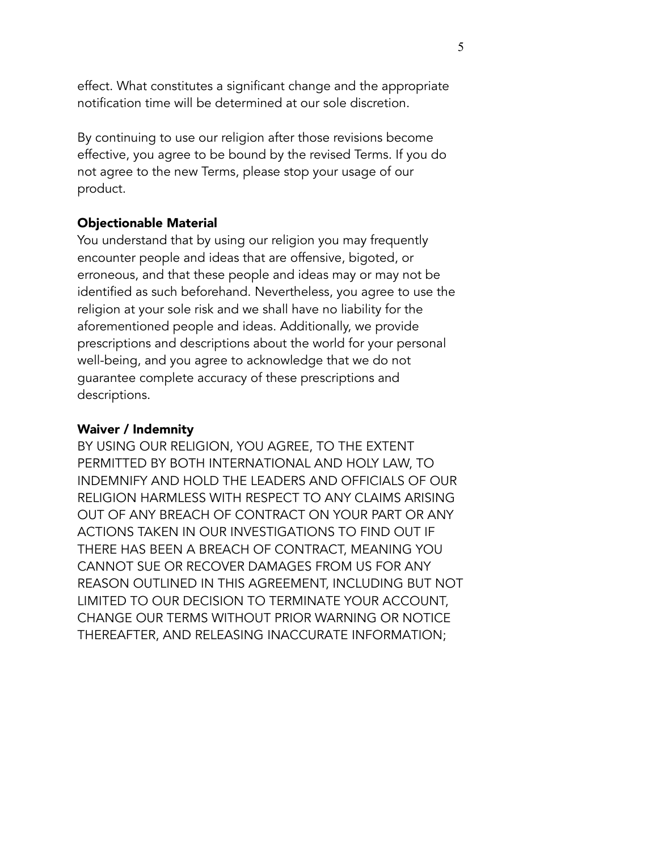effect. What constitutes a significant change and the appropriate notification time will be determined at our sole discretion.

By continuing to use our religion after those revisions become effective, you agree to be bound by the revised Terms. If you do not agree to the new Terms, please stop your usage of our product.

## Objectionable Material

You understand that by using our religion you may frequently encounter people and ideas that are offensive, bigoted, or erroneous, and that these people and ideas may or may not be identified as such beforehand. Nevertheless, you agree to use the religion at your sole risk and we shall have no liability for the aforementioned people and ideas. Additionally, we provide prescriptions and descriptions about the world for your personal well-being, and you agree to acknowledge that we do not guarantee complete accuracy of these prescriptions and descriptions.

## Waiver / Indemnity

BY USING OUR RELIGION, YOU AGREE, TO THE EXTENT PERMITTED BY BOTH INTERNATIONAL AND HOLY LAW, TO INDEMNIFY AND HOLD THE LEADERS AND OFFICIALS OF OUR RELIGION HARMLESS WITH RESPECT TO ANY CLAIMS ARISING OUT OF ANY BREACH OF CONTRACT ON YOUR PART OR ANY ACTIONS TAKEN IN OUR INVESTIGATIONS TO FIND OUT IF THERE HAS BEEN A BREACH OF CONTRACT, MEANING YOU CANNOT SUE OR RECOVER DAMAGES FROM US FOR ANY REASON OUTLINED IN THIS AGREEMENT, INCLUDING BUT NOT LIMITED TO OUR DECISION TO TERMINATE YOUR ACCOUNT, CHANGE OUR TERMS WITHOUT PRIOR WARNING OR NOTICE THEREAFTER, AND RELEASING INACCURATE INFORMATION;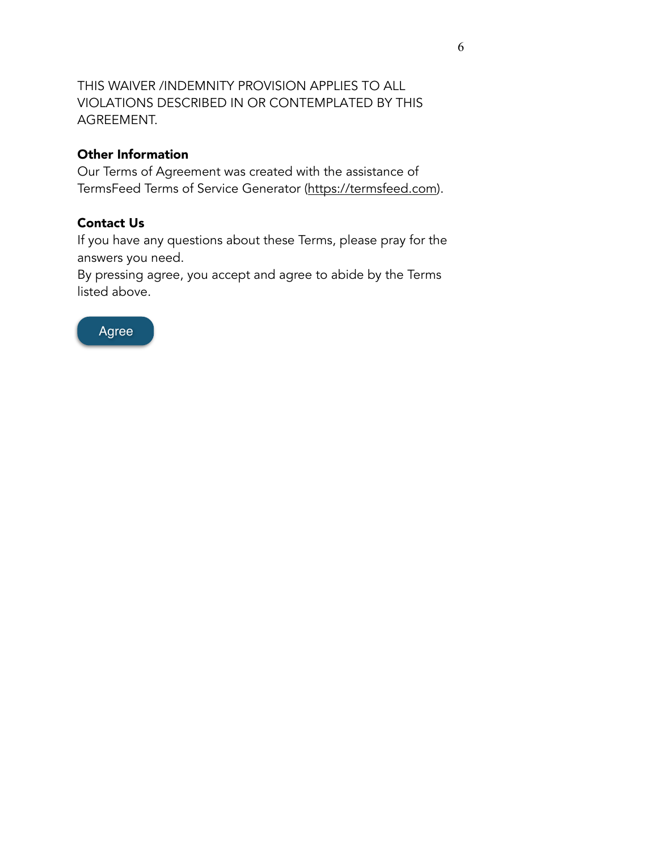THIS WAIVER /INDEMNITY PROVISION APPLIES TO ALL VIOLATIONS DESCRIBED IN OR CONTEMPLATED BY THIS AGREEMENT.

## Other Information

Our Terms of Agreement was created with the assistance of TermsFeed Terms of Service Generator [\(https://termsfeed.com\)](https://termsfeed.com).

## Contact Us

If you have any questions about these Terms, please pray for the answers you need.

By pressing agree, you accept and agree to abide by the Terms listed above.

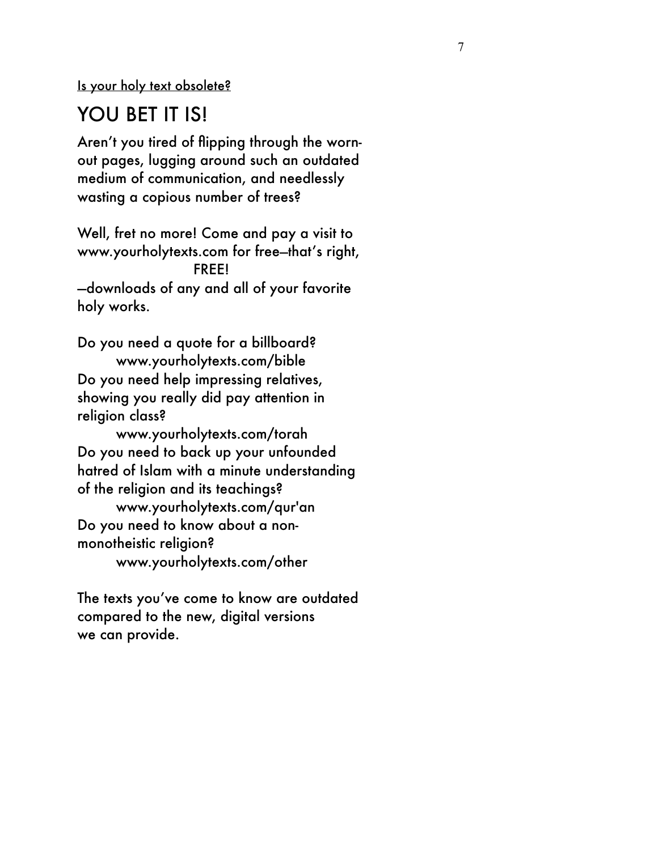Is your holy text obsolete?

## YOU BET IT IS!

Aren't you tired of flipping through the wornout pages, lugging around such an outdated medium of communication, and needlessly wasting a copious number of trees?

Well, fret no more! Come and pay a visit to [www.yourholytexts.com](http://www.yourholytexts.com) for free—that's right, FREE! —downloads of any and all of your favorite holy works.

Do you need a quote for a billboard? [www.yourholytexts.com/](http://www.yourholytexts.com)bible Do you need help impressing relatives, showing you really did pay attention in religion class?

[www.yourholytexts.com/](http://www.yourholytexts.com)torah Do you need to back up your unfounded hatred of Islam with a minute understanding of the religion and its teachings?

[www.yourholytexts.com/](http://www.yourholytexts.com)qur'an Do you need to know about a nonmonotheistic religion? [www.yourholytexts.com/](http://www.yourholytexts.com)other

The texts you've come to know are outdated compared to the new, digital versions we can provide.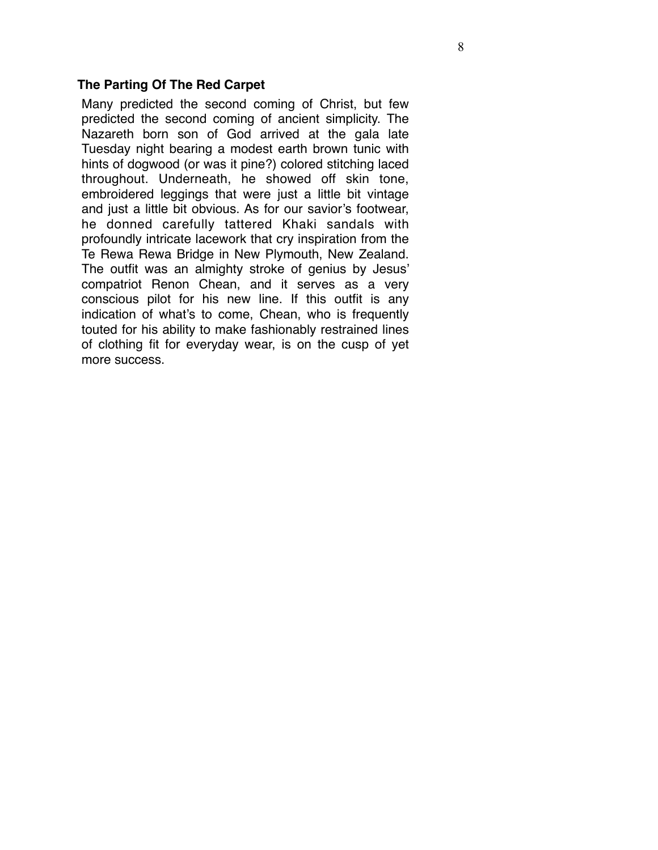#### **The Parting Of The Red Carpet**

Many predicted the second coming of Christ, but few predicted the second coming of ancient simplicity. The Nazareth born son of God arrived at the gala late Tuesday night bearing a modest earth brown tunic with hints of dogwood (or was it pine?) colored stitching laced throughout. Underneath, he showed off skin tone, embroidered leggings that were just a little bit vintage and just a little bit obvious. As for our savior's footwear, he donned carefully tattered Khaki sandals with profoundly intricate lacework that cry inspiration from the Te Rewa Rewa Bridge in New Plymouth, New Zealand. The outfit was an almighty stroke of genius by Jesus' compatriot Renon Chean, and it serves as a very conscious pilot for his new line. If this outfit is any indication of what's to come, Chean, who is frequently touted for his ability to make fashionably restrained lines of clothing fit for everyday wear, is on the cusp of yet more success.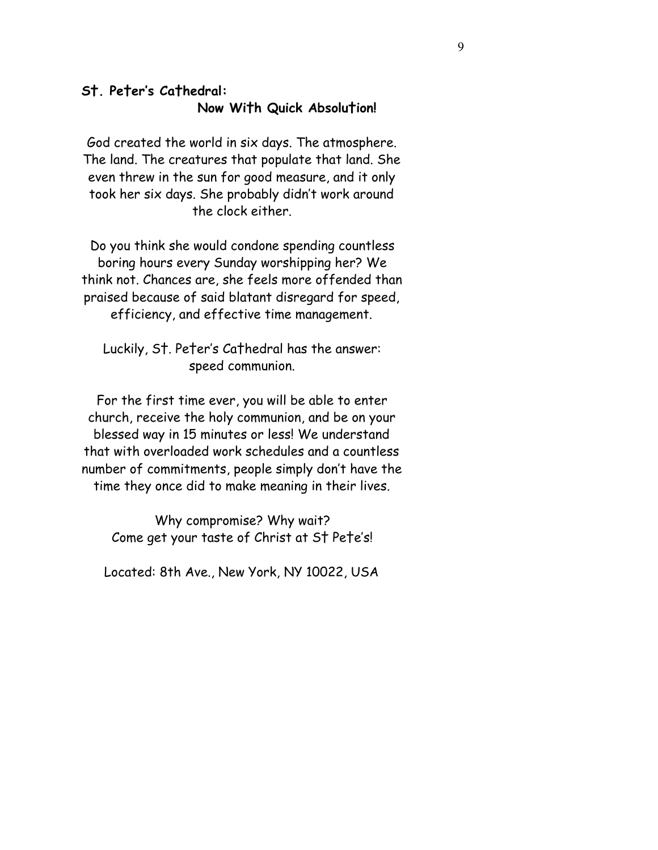## **S†. Pe†er's Ca†hedral: Now Wi†h Quick Absolu†ion!**

God created the world in six days. The atmosphere. The land. The creatures that populate that land. She even threw in the sun for good measure, and it only took her six days. She probably didn't work around the clock either.

Do you think she would condone spending countless boring hours every Sunday worshipping her? We think not. Chances are, she feels more offended than praised because of said blatant disregard for speed, efficiency, and effective time management.

Luckily, S†. Pe†er's Ca†hedral has the answer: speed communion.

For the first time ever, you will be able to enter church, receive the holy communion, and be on your blessed way in 15 minutes or less! We understand that with overloaded work schedules and a countless number of commitments, people simply don't have the time they once did to make meaning in their lives.

Why compromise? Why wait? Come get your taste of Christ at S† Pe†e's!

Located: 8th Ave., New York, NY 10022, USA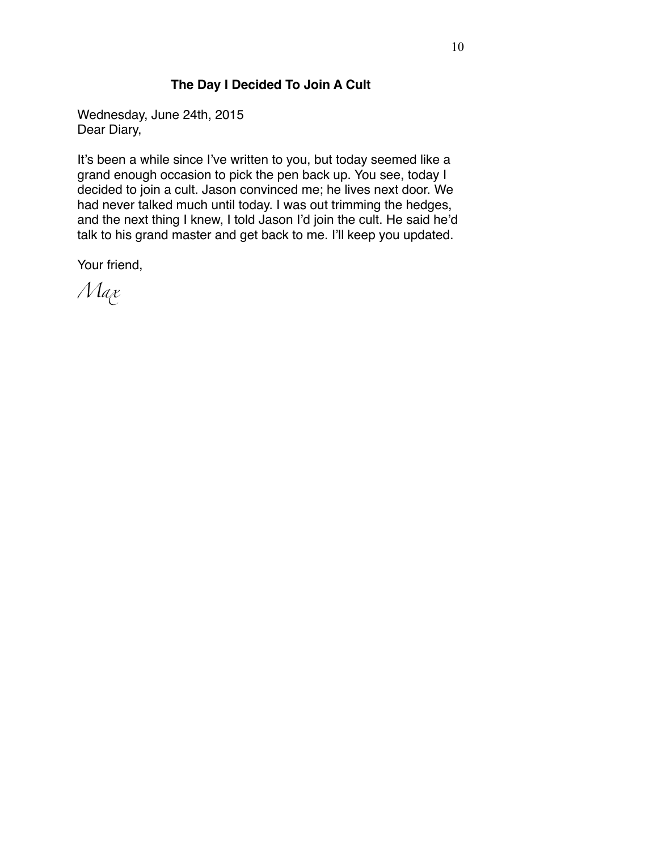## **The Day I Decided To Join A Cult**

Wednesday, June 24th, 2015 Dear Diary,

It's been a while since I've written to you, but today seemed like a grand enough occasion to pick the pen back up. You see, today I decided to join a cult. Jason convinced me; he lives next door. We had never talked much until today. I was out trimming the hedges, and the next thing I knew, I told Jason I'd join the cult. He said he'd talk to his grand master and get back to me. I'll keep you updated.

Your friend,

*Max*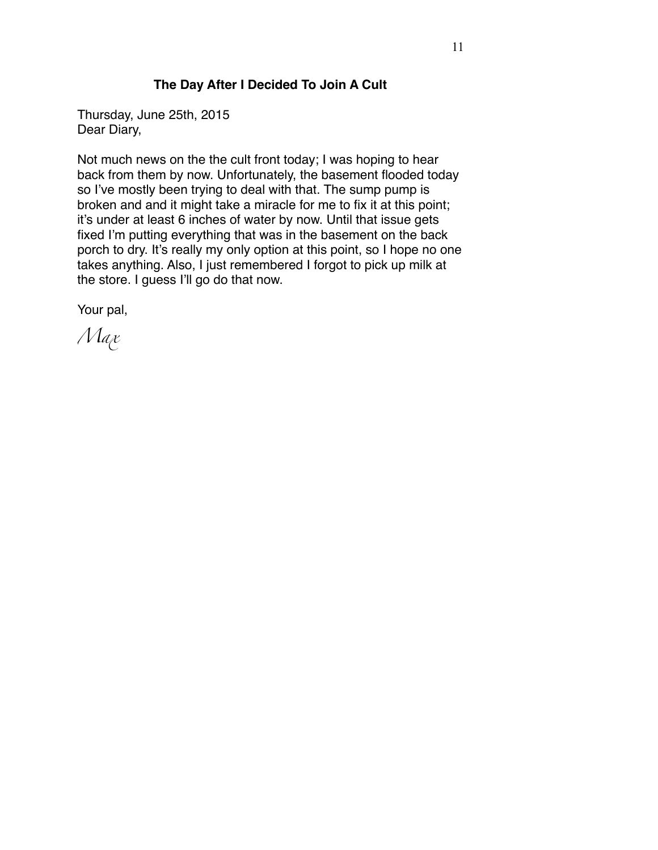### **The Day After I Decided To Join A Cult**

Thursday, June 25th, 2015 Dear Diary,

Not much news on the the cult front today; I was hoping to hear back from them by now. Unfortunately, the basement flooded today so I've mostly been trying to deal with that. The sump pump is broken and and it might take a miracle for me to fix it at this point; it's under at least 6 inches of water by now. Until that issue gets fixed I'm putting everything that was in the basement on the back porch to dry. It's really my only option at this point, so I hope no one takes anything. Also, I just remembered I forgot to pick up milk at the store. I guess I'll go do that now.

Your pal,

*Max*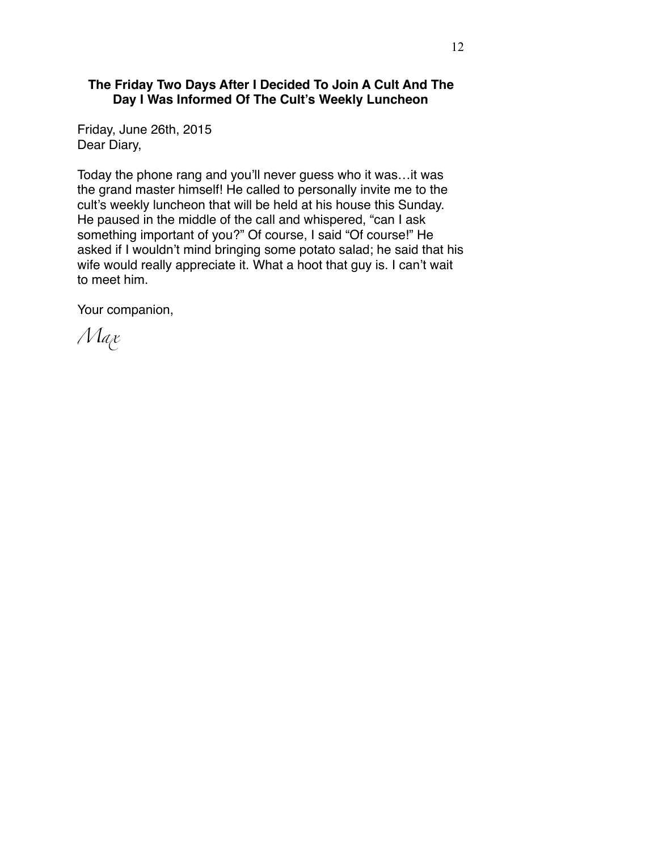#### **The Friday Two Days After I Decided To Join A Cult And The Day I Was Informed Of The Cult's Weekly Luncheon**

Friday, June 26th, 2015 Dear Diary,

Today the phone rang and you'll never guess who it was…it was the grand master himself! He called to personally invite me to the cult's weekly luncheon that will be held at his house this Sunday. He paused in the middle of the call and whispered, "can I ask something important of you?" Of course, I said "Of course!" He asked if I wouldn't mind bringing some potato salad; he said that his wife would really appreciate it. What a hoot that guy is. I can't wait to meet him.

Your companion,

*Max*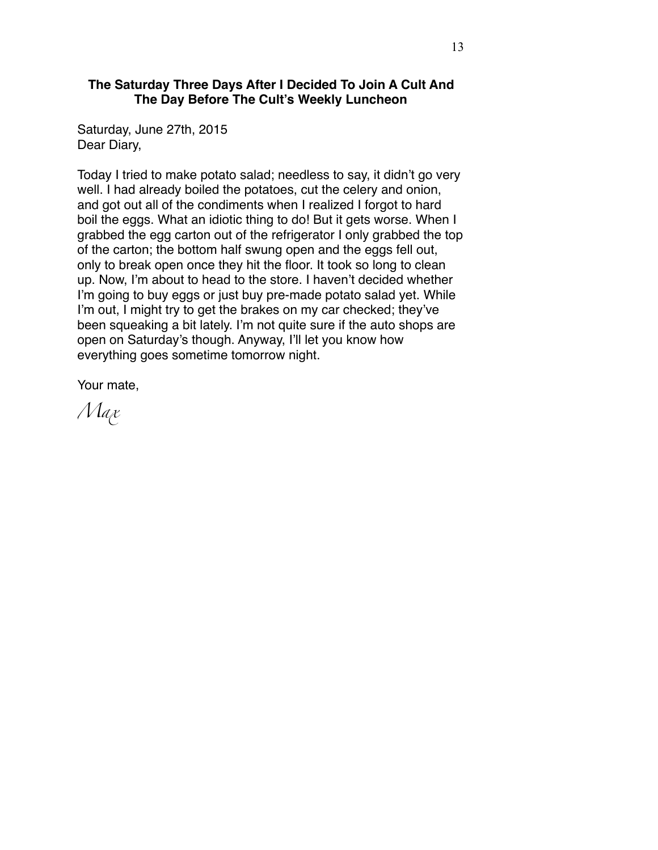#### **The Saturday Three Days After I Decided To Join A Cult And The Day Before The Cult's Weekly Luncheon**

Saturday, June 27th, 2015 Dear Diary,

Today I tried to make potato salad; needless to say, it didn't go very well. I had already boiled the potatoes, cut the celery and onion, and got out all of the condiments when I realized I forgot to hard boil the eggs. What an idiotic thing to do! But it gets worse. When I grabbed the egg carton out of the refrigerator I only grabbed the top of the carton; the bottom half swung open and the eggs fell out, only to break open once they hit the floor. It took so long to clean up. Now, I'm about to head to the store. I haven't decided whether I'm going to buy eggs or just buy pre-made potato salad yet. While I'm out, I might try to get the brakes on my car checked; they've been squeaking a bit lately. I'm not quite sure if the auto shops are open on Saturday's though. Anyway, I'll let you know how everything goes sometime tomorrow night.

Your mate,

*Max*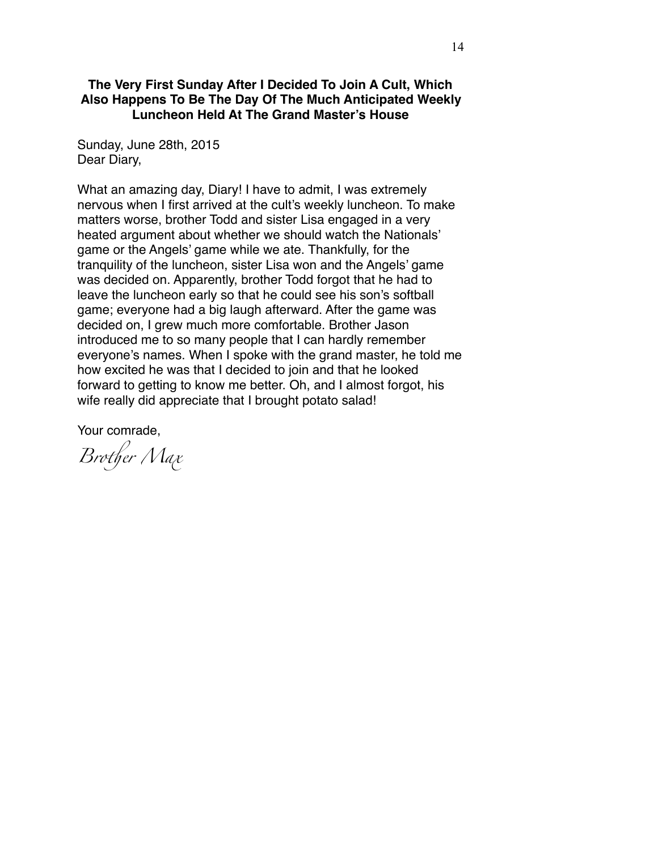#### **The Very First Sunday After I Decided To Join A Cult, Which Also Happens To Be The Day Of The Much Anticipated Weekly Luncheon Held At The Grand Master's House**

Sunday, June 28th, 2015 Dear Diary,

What an amazing day, Diary! I have to admit, I was extremely nervous when I first arrived at the cult's weekly luncheon. To make matters worse, brother Todd and sister Lisa engaged in a very heated argument about whether we should watch the Nationals' game or the Angels' game while we ate. Thankfully, for the tranquility of the luncheon, sister Lisa won and the Angels' game was decided on. Apparently, brother Todd forgot that he had to leave the luncheon early so that he could see his son's softball game; everyone had a big laugh afterward. After the game was decided on, I grew much more comfortable. Brother Jason introduced me to so many people that I can hardly remember everyone's names. When I spoke with the grand master, he told me how excited he was that I decided to join and that he looked forward to getting to know me better. Oh, and I almost forgot, his wife really did appreciate that I brought potato salad!

Your comrade,

*Bro*t*er Max*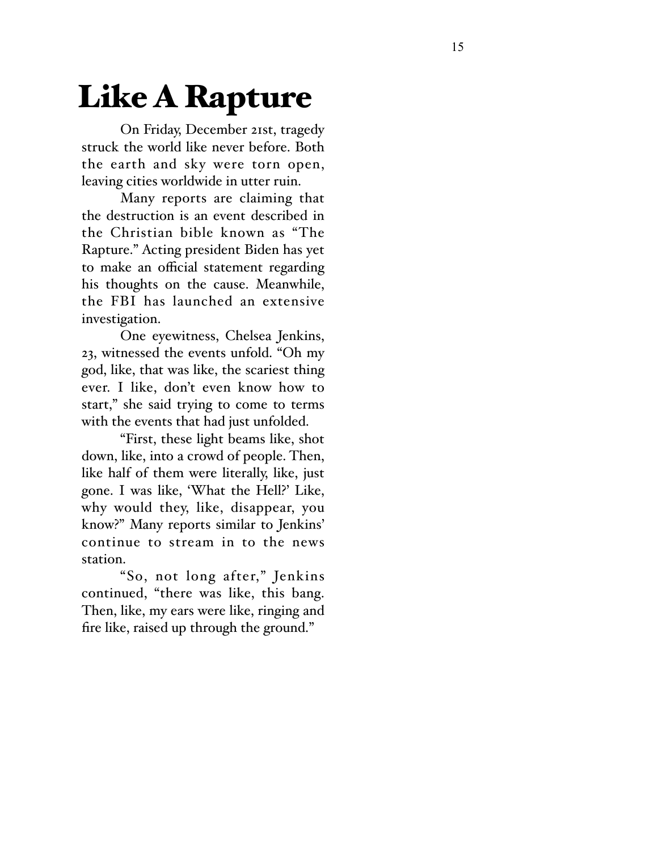# Like A Rapture

On Friday, December 21st, tragedy struck the world like never before. Both the earth and sky were torn open, leaving cities worldwide in utter ruin.

Many reports are claiming that the destruction is an event described in the Christian bible known as "The Rapture." Acting president Biden has yet to make an o fficial statement regarding his thoughts on the cause. Meanwhile, the FBI has launched an extensive investigation.

One eyewitness, Chelsea Jenkins, 23, witnessed the events unfold. "Oh my god, like, that was like, the scariest thing ever. I like, don't even know how to start," she said trying to come to terms with the events that had just unfolded.

"First, these light beams like, shot down, like, into a crowd of people. Then, like half of them were literally, like, just gone. I was like, 'What the Hell?' Like, why would they, like, disappear, you know?" Many reports similar to Jenkins' continue to stream in to the news station.

"So, not long after," Jenkins continued, "there was like, this bang. Then, like, my ears were like, ringing and fire like, raised up through the ground."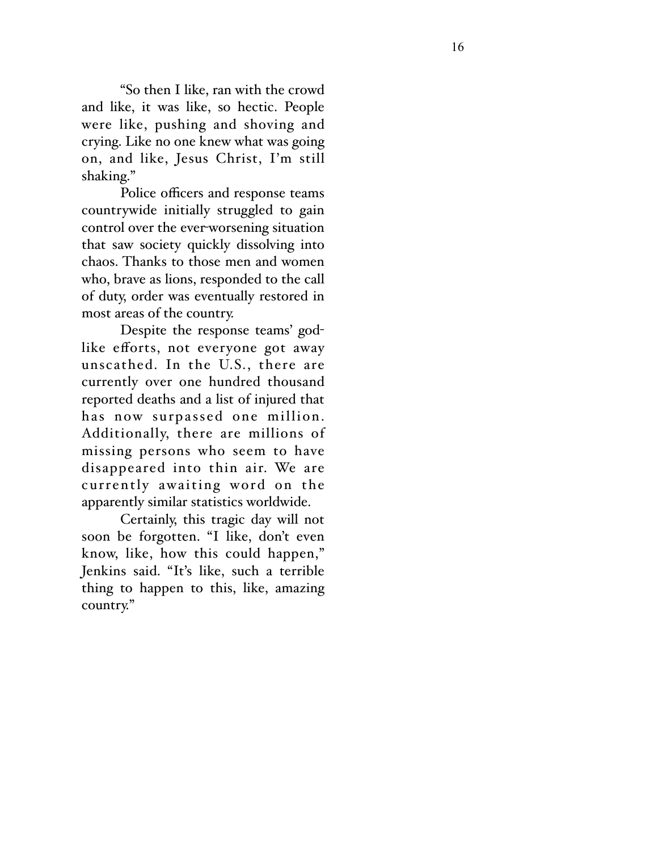"So then I like, ran with the crowd and like, it was like, so hectic. People were like, pushing and shoving and crying. Like no one knew what was going on, and like, Jesus Christ, I'm still shaking."

Police o fficers and response teams countrywide initially struggled to gain control over the ever-worsening situation that saw society quickly dissolving into chaos. Thanks to those men and women who, brave as lions, responded to the call of duty, order was eventually restored in most areas of the country.

Despite the response teams' god like e fforts, not everyone got away unscathed. In the U.S., there are currently over one hundred thousand reported deaths and a list of injured that has now surpassed one million. Additionally, there are millions of missing persons who seem to have disappeared into thin air. We are currently awaiting word on the apparently similar statistics worldwide.

Certainly, this tragic day will not soon be forgotten. "I like, don't even know, like, how this could happen," Jenkins said. "It's like, such a terrible thing to happen to this, like, amazing country."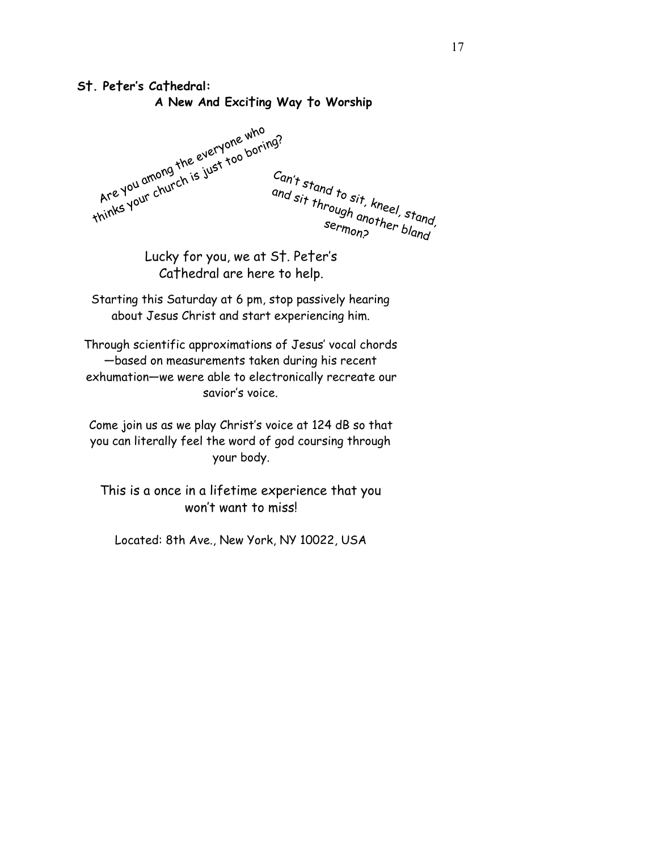## **S†. Pe†er's Ca†hedral:**

 **A New And Exci†ing Way †o Worship**

Are you among the everyone who thinks your church is just too boring? Can't stand to sit, kneel, stand, and sit through another, stand<br>sermon?, stand another bland

Lucky for you, we at S†. Pe†er's Ca†hedral are here to help.

Starting this Saturday at 6 pm, stop passively hearing about Jesus Christ and start experiencing him.

Through scientific approximations of Jesus' vocal chords —based on measurements taken during his recent exhumation—we were able to electronically recreate our savior's voice.

Come join us as we play Christ's voice at 124 dB so that you can literally feel the word of god coursing through your body.

This is a once in a lifetime experience that you won't want to miss!

Located: 8th Ave., New York, NY 10022, USA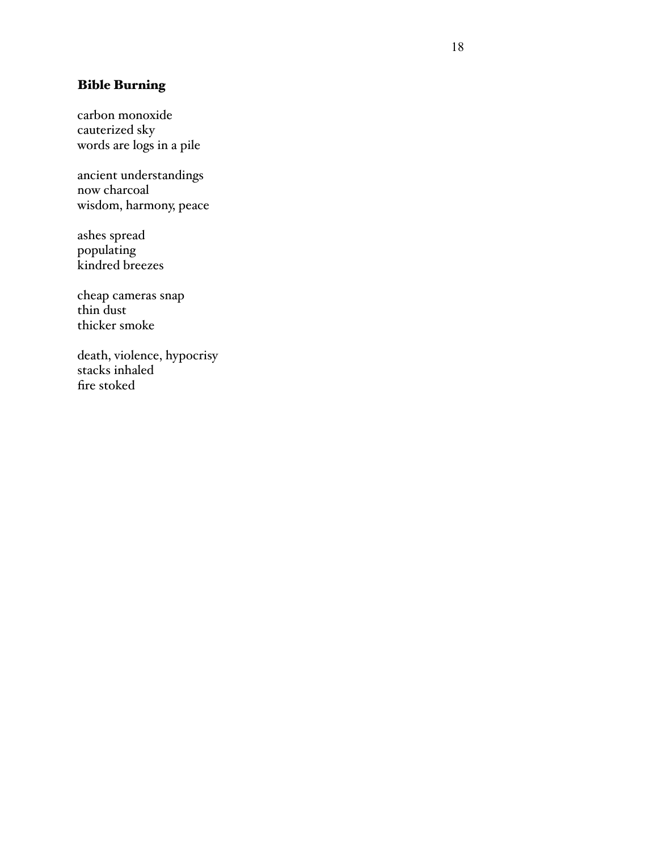## Bible Burning

carbon monoxide cauterized sky words are logs in a pile

ancient understandings now charcoal wisdom, harmony, peace

ashes spread populating kindred breezes

cheap cameras snap thin dust thicker smoke

death, violence, hypocrisy stacks inhaled fire stoked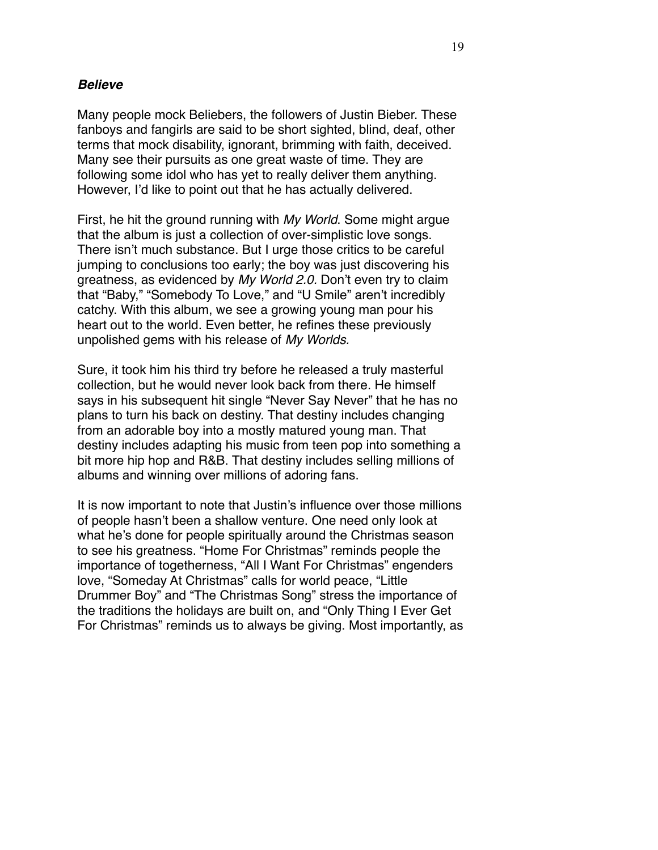#### *Believe*

Many people mock Beliebers, the followers of Justin Bieber. These fanboys and fangirls are said to be short sighted, blind, deaf, other terms that mock disability, ignorant, brimming with faith, deceived. Many see their pursuits as one great waste of time. They are following some idol who has yet to really deliver them anything. However, I'd like to point out that he has actually delivered.

First, he hit the ground running with *My World*. Some might argue that the album is just a collection of over-simplistic love songs. There isn't much substance. But I urge those critics to be careful jumping to conclusions too early; the boy was just discovering his greatness, as evidenced by *My World 2.0.* Don't even try to claim that "Baby," "Somebody To Love," and "U Smile" aren't incredibly catchy. With this album, we see a growing young man pour his heart out to the world. Even better, he refines these previously unpolished gems with his release of *My Worlds.*

Sure, it took him his third try before he released a truly masterful collection, but he would never look back from there. He himself says in his subsequent hit single "Never Say Never" that he has no plans to turn his back on destiny. That destiny includes changing from an adorable boy into a mostly matured young man. That destiny includes adapting his music from teen pop into something a bit more hip hop and R&B. That destiny includes selling millions of albums and winning over millions of adoring fans.

It is now important to note that Justin's influence over those millions of people hasn't been a shallow venture. One need only look at what he's done for people spiritually around the Christmas season to see his greatness. "Home For Christmas" reminds people the importance of togetherness, "All I Want For Christmas" engenders love, "Someday At Christmas" calls for world peace, "Little Drummer Boy" and "The Christmas Song" stress the importance of the traditions the holidays are built on, and "Only Thing I Ever Get For Christmas" reminds us to always be giving. Most importantly, as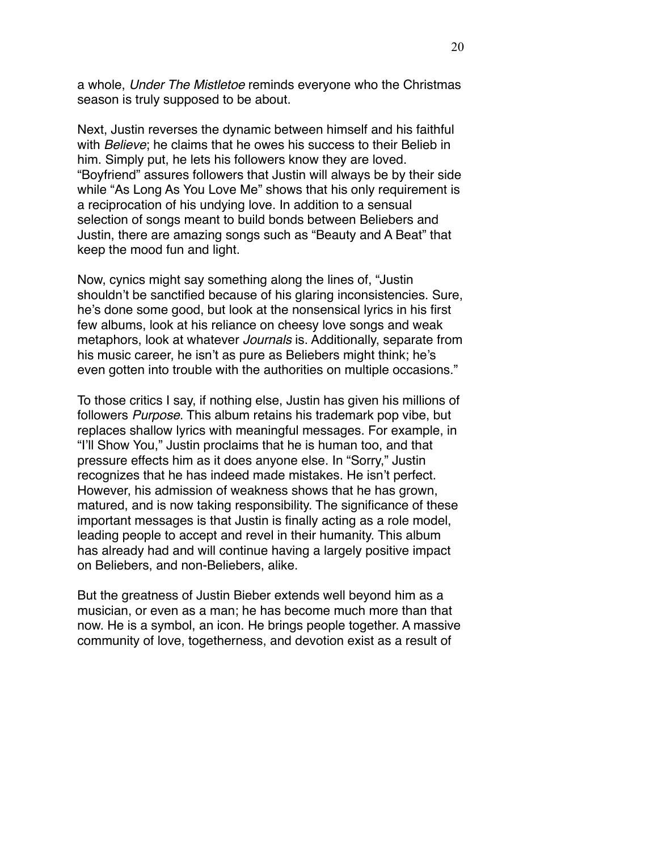a whole, *Under The Mistletoe* reminds everyone who the Christmas season is truly supposed to be about.

Next, Justin reverses the dynamic between himself and his faithful with *Believe*; he claims that he owes his success to their Belieb in him. Simply put, he lets his followers know they are loved. "Boyfriend" assures followers that Justin will always be by their side while "As Long As You Love Me" shows that his only requirement is a reciprocation of his undying love. In addition to a sensual selection of songs meant to build bonds between Beliebers and Justin, there are amazing songs such as "Beauty and A Beat" that keep the mood fun and light.

Now, cynics might say something along the lines of, "Justin shouldn't be sanctified because of his glaring inconsistencies. Sure, he's done some good, but look at the nonsensical lyrics in his first few albums, look at his reliance on cheesy love songs and weak metaphors, look at whatever *Journals* is. Additionally, separate from his music career, he isn't as pure as Beliebers might think; he's even gotten into trouble with the authorities on multiple occasions."

To those critics I say, if nothing else, Justin has given his millions of followers *Purpose*. This album retains his trademark pop vibe, but replaces shallow lyrics with meaningful messages. For example, in "I'll Show You," Justin proclaims that he is human too, and that pressure effects him as it does anyone else. In "Sorry," Justin recognizes that he has indeed made mistakes. He isn't perfect. However, his admission of weakness shows that he has grown, matured, and is now taking responsibility. The significance of these important messages is that Justin is finally acting as a role model, leading people to accept and revel in their humanity. This album has already had and will continue having a largely positive impact on Beliebers, and non-Beliebers, alike.

But the greatness of Justin Bieber extends well beyond him as a musician, or even as a man; he has become much more than that now. He is a symbol, an icon. He brings people together. A massive community of love, togetherness, and devotion exist as a result of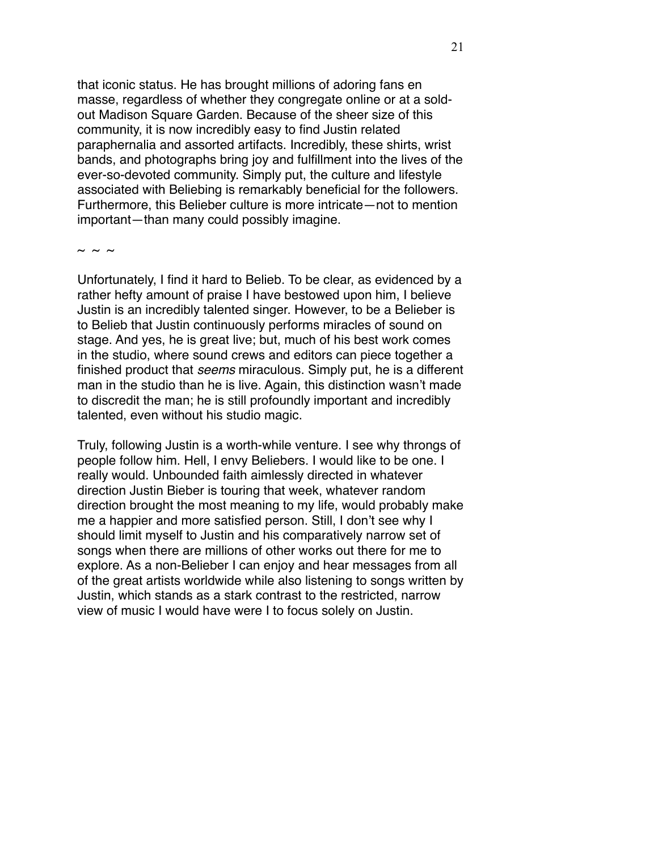that iconic status. He has brought millions of adoring fans en masse, regardless of whether they congregate online or at a soldout Madison Square Garden. Because of the sheer size of this community, it is now incredibly easy to find Justin related paraphernalia and assorted artifacts. Incredibly, these shirts, wrist bands, and photographs bring joy and fulfillment into the lives of the ever-so-devoted community. Simply put, the culture and lifestyle associated with Beliebing is remarkably beneficial for the followers. Furthermore, this Belieber culture is more intricate—not to mention important—than many could possibly imagine.

 $\sim$   $\sim$   $\sim$ 

Unfortunately, I find it hard to Belieb. To be clear, as evidenced by a rather hefty amount of praise I have bestowed upon him, I believe Justin is an incredibly talented singer. However, to be a Belieber is to Belieb that Justin continuously performs miracles of sound on stage. And yes, he is great live; but, much of his best work comes in the studio, where sound crews and editors can piece together a finished product that *seems* miraculous. Simply put, he is a different man in the studio than he is live. Again, this distinction wasn't made to discredit the man; he is still profoundly important and incredibly talented, even without his studio magic.

Truly, following Justin is a worth-while venture. I see why throngs of people follow him. Hell, I envy Beliebers. I would like to be one. I really would. Unbounded faith aimlessly directed in whatever direction Justin Bieber is touring that week, whatever random direction brought the most meaning to my life, would probably make me a happier and more satisfied person. Still, I don't see why I should limit myself to Justin and his comparatively narrow set of songs when there are millions of other works out there for me to explore. As a non-Belieber I can enjoy and hear messages from all of the great artists worldwide while also listening to songs written by Justin, which stands as a stark contrast to the restricted, narrow view of music I would have were I to focus solely on Justin.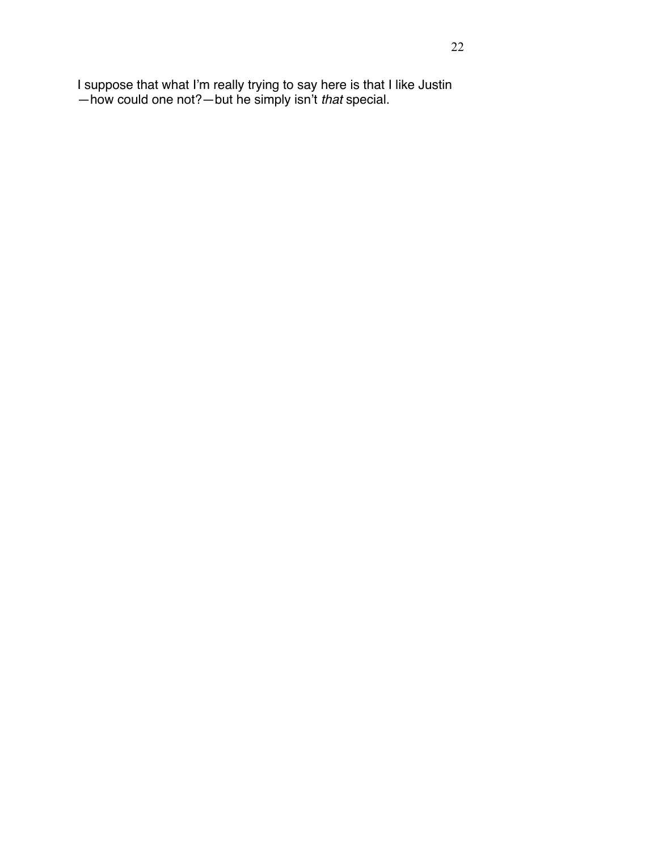I suppose that what I'm really trying to say here is that I like Justin —how could one not?—but he simply isn't *that* special.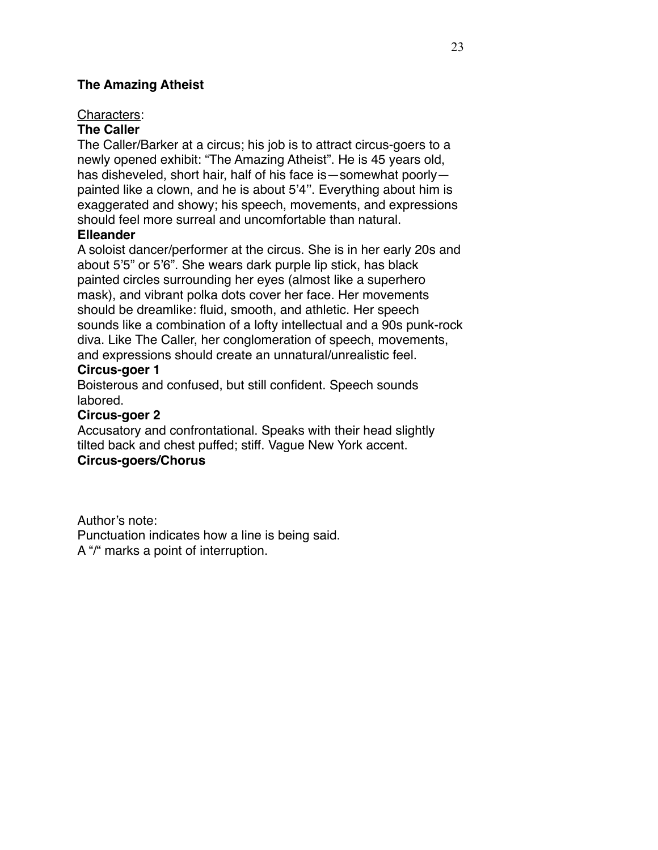#### **The Amazing Atheist**

#### Characters:

#### **The Caller**

The Caller/Barker at a circus; his job is to attract circus-goers to a newly opened exhibit: "The Amazing Atheist". He is 45 years old, has disheveled, short hair, half of his face is—somewhat poorly painted like a clown, and he is about 5'4''. Everything about him is exaggerated and showy; his speech, movements, and expressions should feel more surreal and uncomfortable than natural.

#### **Elleander**

A soloist dancer/performer at the circus. She is in her early 20s and about 5'5" or 5'6". She wears dark purple lip stick, has black painted circles surrounding her eyes (almost like a superhero mask), and vibrant polka dots cover her face. Her movements should be dreamlike: fluid, smooth, and athletic. Her speech sounds like a combination of a lofty intellectual and a 90s punk-rock diva. Like The Caller, her conglomeration of speech, movements, and expressions should create an unnatural/unrealistic feel. **Circus-goer 1**

Boisterous and confused, but still confident. Speech sounds labored.

## **Circus-goer 2**

Accusatory and confrontational. Speaks with their head slightly tilted back and chest puffed; stiff. Vague New York accent. **Circus-goers/Chorus**

Author's note: Punctuation indicates how a line is being said. A "/" marks a point of interruption.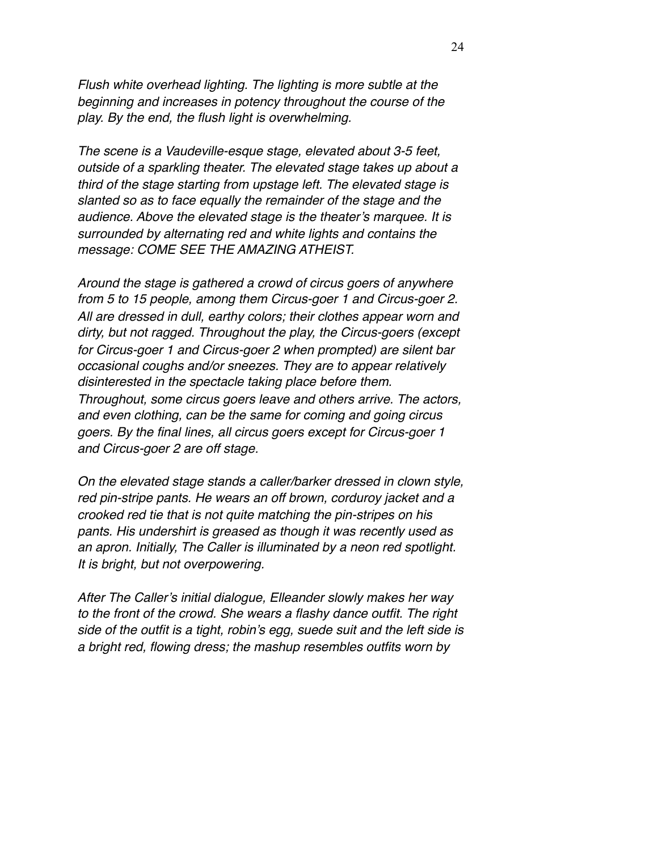*Flush white overhead lighting. The lighting is more subtle at the beginning and increases in potency throughout the course of the play. By the end, the flush light is overwhelming.* 

*The scene is a Vaudeville-esque stage, elevated about 3-5 feet, outside of a sparkling theater. The elevated stage takes up about a third of the stage starting from upstage left. The elevated stage is slanted so as to face equally the remainder of the stage and the audience. Above the elevated stage is the theater's marquee. It is surrounded by alternating red and white lights and contains the message: COME SEE THE AMAZING ATHEIST.*

*Around the stage is gathered a crowd of circus goers of anywhere from 5 to 15 people, among them Circus-goer 1 and Circus-goer 2. All are dressed in dull, earthy colors; their clothes appear worn and dirty, but not ragged. Throughout the play, the Circus-goers (except for Circus-goer 1 and Circus-goer 2 when prompted) are silent bar occasional coughs and/or sneezes. They are to appear relatively disinterested in the spectacle taking place before them. Throughout, some circus goers leave and others arrive. The actors, and even clothing, can be the same for coming and going circus goers. By the final lines, all circus goers except for Circus-goer 1 and Circus-goer 2 are off stage.* 

*On the elevated stage stands a caller/barker dressed in clown style, red pin-stripe pants. He wears an off brown, corduroy jacket and a crooked red tie that is not quite matching the pin-stripes on his pants. His undershirt is greased as though it was recently used as an apron. Initially, The Caller is illuminated by a neon red spotlight. It is bright, but not overpowering.* 

*After The Caller's initial dialogue, Elleander slowly makes her way to the front of the crowd. She wears a flashy dance outfit. The right side of the outfit is a tight, robin's egg, suede suit and the left side is a bright red, flowing dress; the mashup resembles outfits worn by*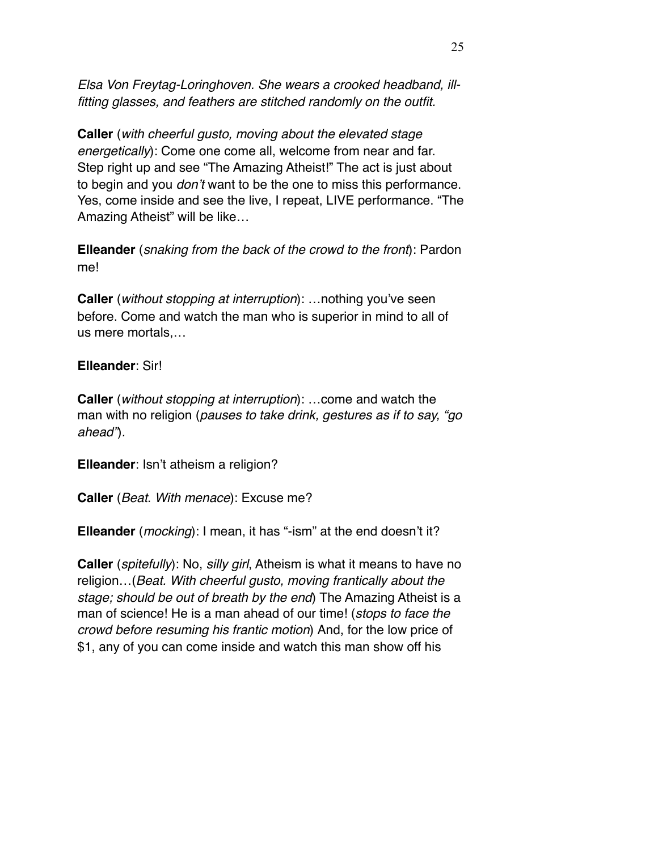*Elsa Von Freytag-Loringhoven. She wears a crooked headband, illfitting glasses, and feathers are stitched randomly on the outfit.*

**Caller** (*with cheerful gusto, moving about the elevated stage energetically*): Come one come all, welcome from near and far. Step right up and see "The Amazing Atheist!" The act is just about to begin and you *don't* want to be the one to miss this performance. Yes, come inside and see the live, I repeat, LIVE performance. "The Amazing Atheist" will be like…

**Elleander** (*snaking from the back of the crowd to the front*): Pardon me!

**Caller** (*without stopping at interruption*): …nothing you've seen before. Come and watch the man who is superior in mind to all of us mere mortals,…

#### **Elleander**: Sir!

**Caller** (*without stopping at interruption*): …come and watch the man with no religion (*pauses to take drink, gestures as if to say, "go ahead"*)*.*

**Elleander**: Isn't atheism a religion?

**Caller** (*Beat*. *With menace*): Excuse me?

**Elleander** (*mocking*): I mean, it has "-ism" at the end doesn't it?

**Caller** (*spitefully*): No, *silly girl*, Atheism is what it means to have no religion…(*Beat. With cheerful gusto, moving frantically about the stage; should be out of breath by the end*) The Amazing Atheist is a man of science! He is a man ahead of our time! (*stops to face the crowd before resuming his frantic motion*) And, for the low price of \$1, any of you can come inside and watch this man show off his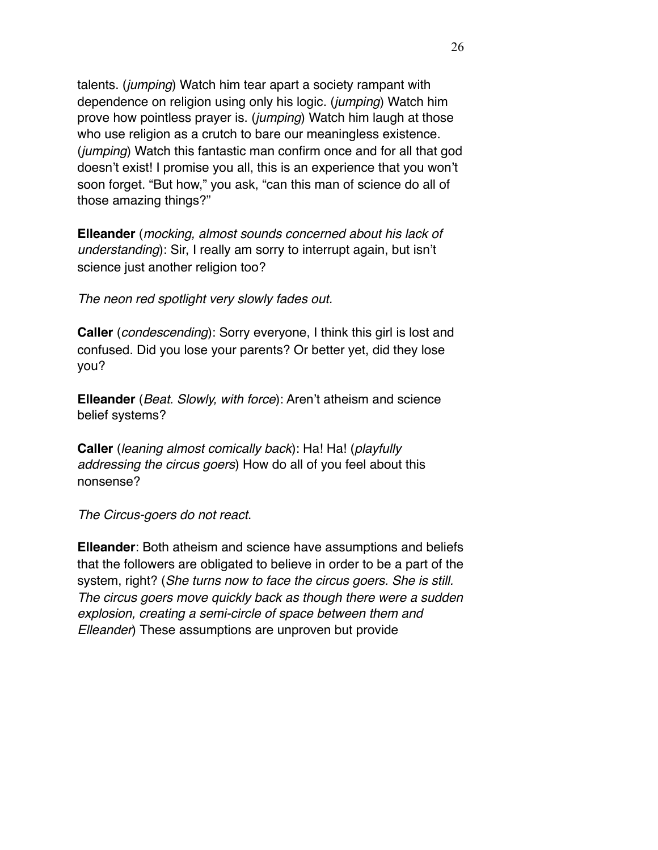talents. (*jumping*) Watch him tear apart a society rampant with dependence on religion using only his logic. (*jumping*) Watch him prove how pointless prayer is. (*jumping*) Watch him laugh at those who use religion as a crutch to bare our meaningless existence. (*jumping*) Watch this fantastic man confirm once and for all that god doesn't exist! I promise you all, this is an experience that you won't soon forget. "But how," you ask, "can this man of science do all of those amazing things?"

**Elleander** (*mocking, almost sounds concerned about his lack of understanding*): Sir, I really am sorry to interrupt again, but isn't science just another religion too?

*The neon red spotlight very slowly fades out.*

**Caller** (*condescending*): Sorry everyone, I think this girl is lost and confused. Did you lose your parents? Or better yet, did they lose you?

**Elleander** (*Beat. Slowly, with force*): Aren't atheism and science belief systems?

**Caller** (*leaning almost comically back*): Ha! Ha! (*playfully addressing the circus goers*) How do all of you feel about this nonsense?

*The Circus-goers do not react*.

**Elleander**: Both atheism and science have assumptions and beliefs that the followers are obligated to believe in order to be a part of the system, right? (*She turns now to face the circus goers. She is still. The circus goers move quickly back as though there were a sudden explosion, creating a semi-circle of space between them and Elleander*) These assumptions are unproven but provide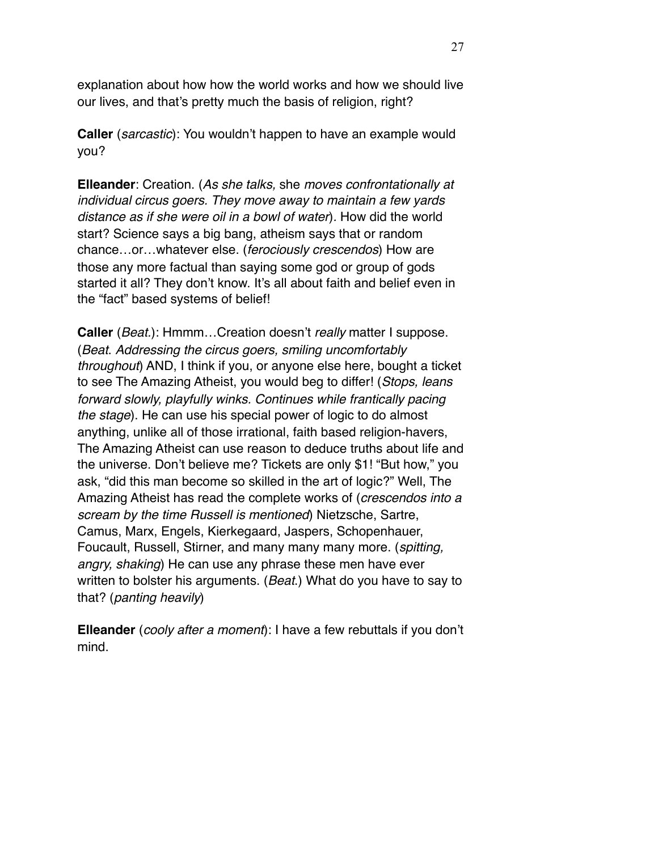explanation about how how the world works and how we should live our lives, and that's pretty much the basis of religion, right?

**Caller** (*sarcastic*): You wouldn't happen to have an example would you?

**Elleander**: Creation. (*As she talks,* she *moves confrontationally at individual circus goers. They move away to maintain a few yards distance as if she were oil in a bowl of water*)*.* How did the world start? Science says a big bang, atheism says that or random chance…or…whatever else. (*ferociously crescendos*) How are those any more factual than saying some god or group of gods started it all? They don't know. It's all about faith and belief even in the "fact" based systems of belief!

**Caller** (*Beat.*): Hmmm…Creation doesn't *really* matter I suppose. (*Beat*. *Addressing the circus goers, smiling uncomfortably throughout*) AND, I think if you, or anyone else here, bought a ticket to see The Amazing Atheist, you would beg to differ! (*Stops, leans forward slowly, playfully winks. Continues while frantically pacing the stage*). He can use his special power of logic to do almost anything, unlike all of those irrational, faith based religion-havers, The Amazing Atheist can use reason to deduce truths about life and the universe. Don't believe me? Tickets are only \$1! "But how," you ask, "did this man become so skilled in the art of logic?" Well, The Amazing Atheist has read the complete works of (*crescendos into a scream by the time Russell is mentioned*) Nietzsche, Sartre, Camus, Marx, Engels, Kierkegaard, Jaspers, Schopenhauer, Foucault, Russell, Stirner, and many many many more. (*spitting, angry, shaking*) He can use any phrase these men have ever written to bolster his arguments. (*Beat*.) What do you have to say to that? (*panting heavily*)

**Elleander** (*cooly after a moment*): I have a few rebuttals if you don't mind.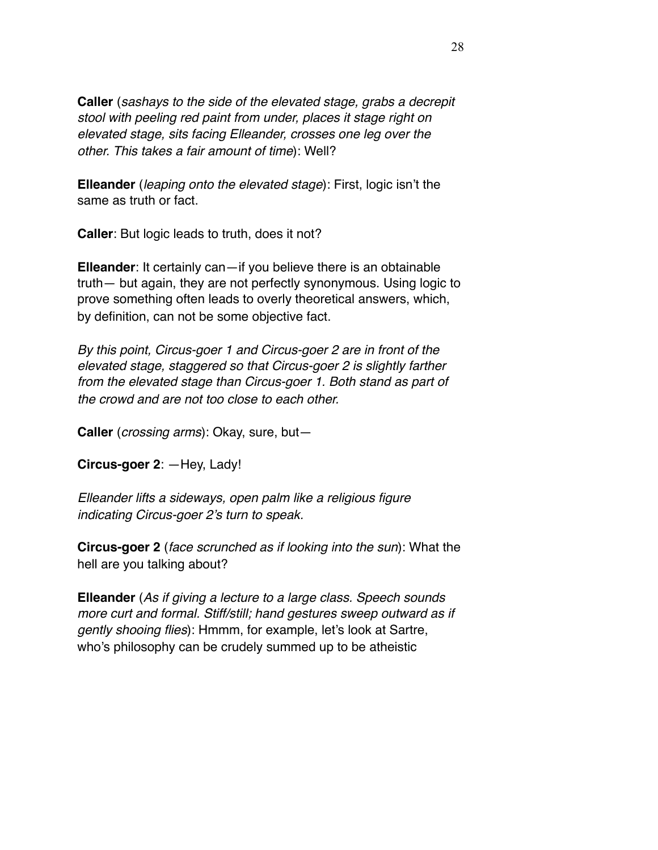**Caller** (*sashays to the side of the elevated stage, grabs a decrepit stool with peeling red paint from under, places it stage right on elevated stage, sits facing Elleander, crosses one leg over the other. This takes a fair amount of time*): Well?

**Elleander** (*leaping onto the elevated stage*): First, logic isn't the same as truth or fact.

**Caller**: But logic leads to truth, does it not?

**Elleander**: It certainly can—if you believe there is an obtainable truth— but again, they are not perfectly synonymous. Using logic to prove something often leads to overly theoretical answers, which, by definition, can not be some objective fact.

*By this point, Circus-goer 1 and Circus-goer 2 are in front of the elevated stage, staggered so that Circus-goer 2 is slightly farther from the elevated stage than Circus-goer 1. Both stand as part of the crowd and are not too close to each other.* 

**Caller** (*crossing arms*): Okay, sure, but—

**Circus-goer 2**: —Hey, Lady!

*Elleander lifts a sideways, open palm like a religious figure indicating Circus-goer 2's turn to speak.* 

**Circus-goer 2** (*face scrunched as if looking into the sun*): What the hell are you talking about?

**Elleander** (*As if giving a lecture to a large class. Speech sounds more curt and formal. Stiff/still; hand gestures sweep outward as if gently shooing flies*): Hmmm, for example, let's look at Sartre, who's philosophy can be crudely summed up to be atheistic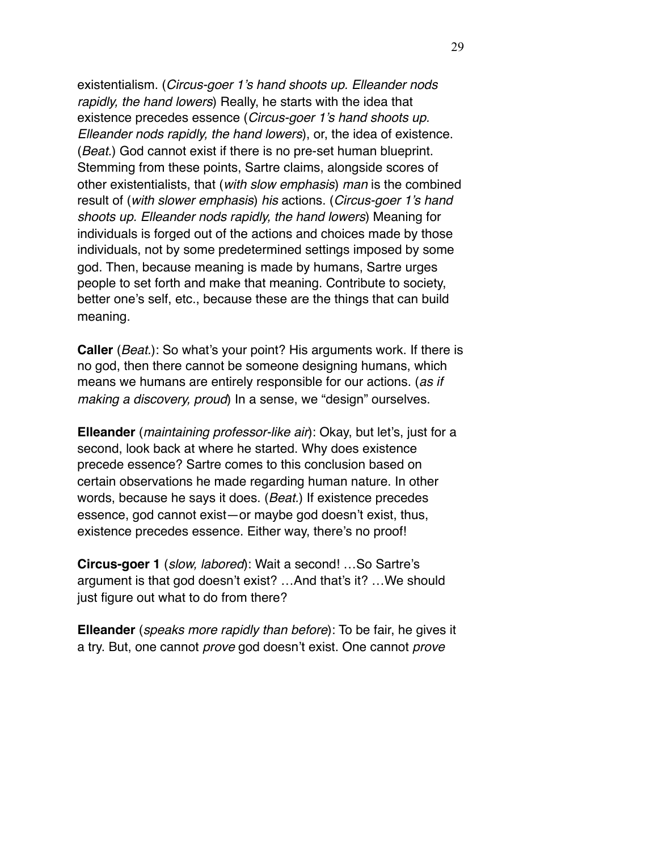existentialism. (*Circus-goer 1's hand shoots up. Elleander nods rapidly, the hand lowers*) Really, he starts with the idea that existence precedes essence (*Circus-goer 1's hand shoots up. Elleander nods rapidly, the hand lowers*), or, the idea of existence. (*Beat.*) God cannot exist if there is no pre-set human blueprint. Stemming from these points, Sartre claims, alongside scores of other existentialists, that (*with slow emphasis*) *man* is the combined result of (*with slower emphasis*) *his* actions. (*Circus-goer 1's hand shoots up. Elleander nods rapidly, the hand lowers*) Meaning for individuals is forged out of the actions and choices made by those individuals, not by some predetermined settings imposed by some god. Then, because meaning is made by humans, Sartre urges people to set forth and make that meaning. Contribute to society, better one's self, etc., because these are the things that can build meaning.

**Caller** (*Beat.*): So what's your point? His arguments work. If there is no god, then there cannot be someone designing humans, which means we humans are entirely responsible for our actions. (*as if making a discovery, proud*) In a sense, we "design" ourselves.

**Elleander** (*maintaining professor-like air*): Okay, but let's, just for a second, look back at where he started. Why does existence precede essence? Sartre comes to this conclusion based on certain observations he made regarding human nature. In other words, because he says it does. (*Beat.*) If existence precedes essence, god cannot exist—or maybe god doesn't exist, thus, existence precedes essence. Either way, there's no proof!

**Circus-goer 1** (*slow, labored*): Wait a second! …So Sartre's argument is that god doesn't exist? …And that's it? …We should just figure out what to do from there?

**Elleander** (*speaks more rapidly than before*): To be fair, he gives it a try. But, one cannot *prove* god doesn't exist. One cannot *prove*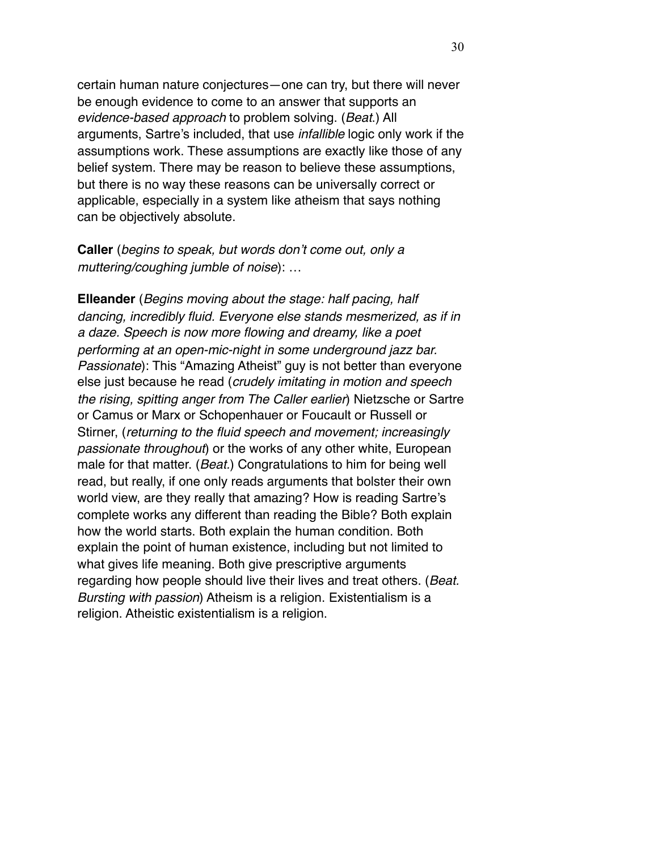certain human nature conjectures—one can try, but there will never be enough evidence to come to an answer that supports an *evidence-based approach* to problem solving. (*Beat*.) All arguments, Sartre's included, that use *infallible* logic only work if the assumptions work. These assumptions are exactly like those of any belief system. There may be reason to believe these assumptions, but there is no way these reasons can be universally correct or applicable, especially in a system like atheism that says nothing can be objectively absolute.

**Caller** (*begins to speak, but words don't come out, only a muttering/coughing jumble of noise*): …

**Elleander** (*Begins moving about the stage: half pacing, half dancing, incredibly fluid. Everyone else stands mesmerized, as if in a daze. Speech is now more flowing and dreamy, like a poet performing at an open-mic-night in some underground jazz bar. Passionate*): This "Amazing Atheist" guy is not better than everyone else just because he read (*crudely imitating in motion and speech the rising, spitting anger from The Caller earlier*) Nietzsche or Sartre or Camus or Marx or Schopenhauer or Foucault or Russell or Stirner, (*returning to the fluid speech and movement; increasingly passionate throughout*) or the works of any other white, European male for that matter. (*Beat.*) Congratulations to him for being well read, but really, if one only reads arguments that bolster their own world view, are they really that amazing? How is reading Sartre's complete works any different than reading the Bible? Both explain how the world starts. Both explain the human condition. Both explain the point of human existence, including but not limited to what gives life meaning. Both give prescriptive arguments regarding how people should live their lives and treat others. (*Beat. Bursting with passion*) Atheism is a religion. Existentialism is a religion. Atheistic existentialism is a religion.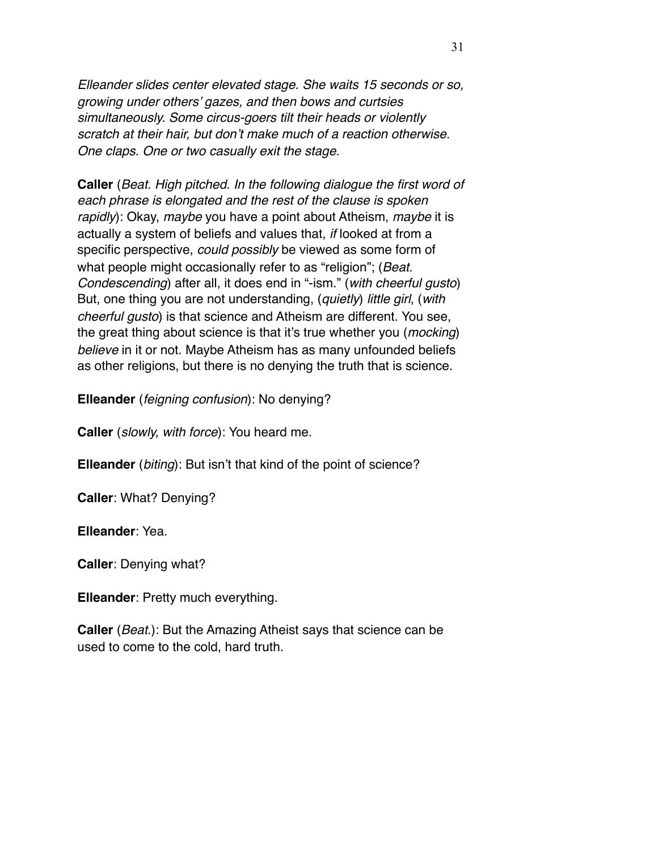*Elleander slides center elevated stage. She waits 15 seconds or so, growing under others' gazes, and then bows and curtsies simultaneously. Some circus-goers tilt their heads or violently scratch at their hair, but don't make much of a reaction otherwise. One claps. One or two casually exit the stage.* 

**Caller** (*Beat. High pitched. In the following dialogue the first word of each phrase is elongated and the rest of the clause is spoken rapidly*): Okay, *maybe* you have a point about Atheism, *maybe* it is actually a system of beliefs and values that, *if* looked at from a specific perspective, *could possibly* be viewed as some form of what people might occasionally refer to as "religion"; (*Beat. Condescending*) after all, it does end in "-ism." (*with cheerful gusto*) But, one thing you are not understanding, (*quietly*) *little girl*, (*with cheerful gusto*) is that science and Atheism are different. You see, the great thing about science is that it's true whether you (*mocking*) *believe* in it or not. Maybe Atheism has as many unfounded beliefs as other religions, but there is no denying the truth that is science.

**Elleander** (*feigning confusion*): No denying?

**Caller** (*slowly, with force*): You heard me.

**Elleander** (*biting*): But isn't that kind of the point of science?

**Caller**: What? Denying?

**Elleander**: Yea.

**Caller**: Denying what?

**Elleander**: Pretty much everything.

**Caller** (*Beat.*): But the Amazing Atheist says that science can be used to come to the cold, hard truth.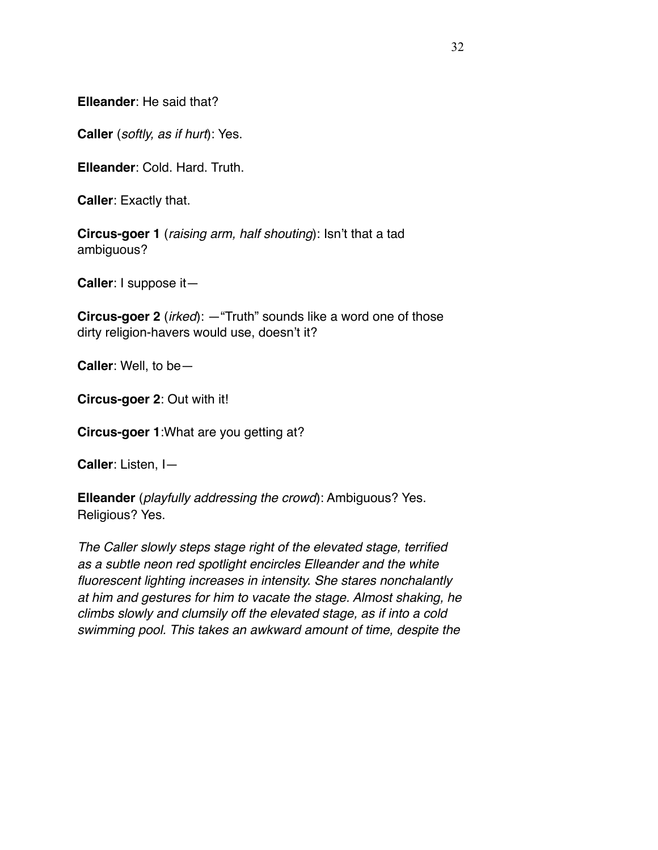**Elleander**: He said that?

**Caller** (*softly, as if hurt*): Yes.

**Elleander**: Cold. Hard. Truth.

**Caller**: Exactly that.

**Circus-goer 1** (*raising arm, half shouting*): Isn't that a tad ambiguous?

**Caller**: I suppose it—

**Circus-goer 2** (*irked*): —"Truth" sounds like a word one of those dirty religion-havers would use, doesn't it?

**Caller**: Well, to be—

**Circus-goer 2**: Out with it!

**Circus-goer 1**:What are you getting at?

**Caller**: Listen, I—

**Elleander** (*playfully addressing the crowd*): Ambiguous? Yes. Religious? Yes.

*The Caller slowly steps stage right of the elevated stage, terrified as a subtle neon red spotlight encircles Elleander and the white fluorescent lighting increases in intensity. She stares nonchalantly at him and gestures for him to vacate the stage. Almost shaking, he climbs slowly and clumsily off the elevated stage, as if into a cold swimming pool. This takes an awkward amount of time, despite the*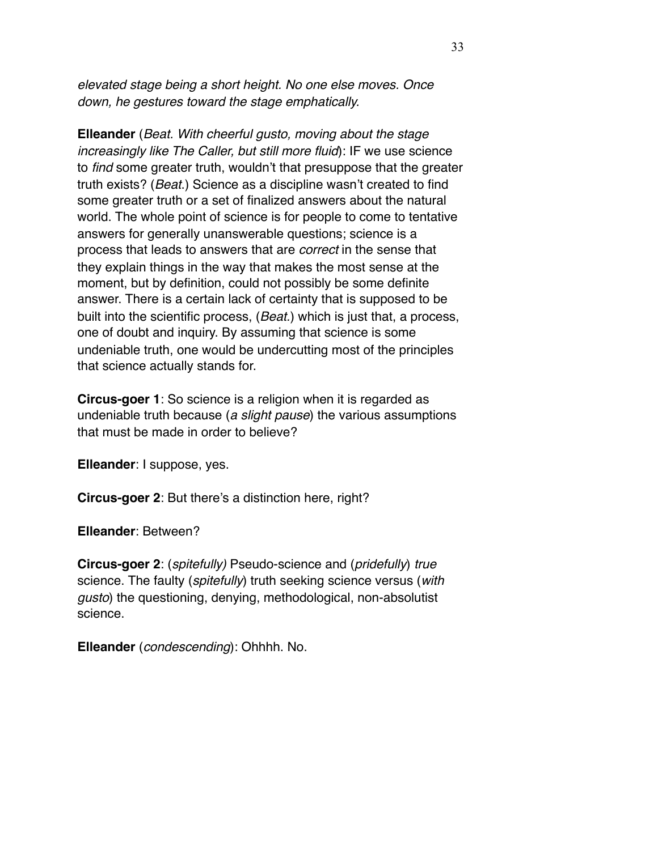*elevated stage being a short height. No one else moves. Once down, he gestures toward the stage emphatically.*

**Elleander** (*Beat. With cheerful gusto, moving about the stage increasingly like The Caller, but still more fluid*): IF we use science to *find* some greater truth, wouldn't that presuppose that the greater truth exists? (*Beat*.) Science as a discipline wasn't created to find some greater truth or a set of finalized answers about the natural world. The whole point of science is for people to come to tentative answers for generally unanswerable questions; science is a process that leads to answers that are *correct* in the sense that they explain things in the way that makes the most sense at the moment, but by definition, could not possibly be some definite answer. There is a certain lack of certainty that is supposed to be built into the scientific process, (*Beat.*) which is just that, a process, one of doubt and inquiry. By assuming that science is some undeniable truth, one would be undercutting most of the principles that science actually stands for.

**Circus-goer 1**: So science is a religion when it is regarded as undeniable truth because (*a slight pause*) the various assumptions that must be made in order to believe?

**Elleander**: I suppose, yes.

**Circus-goer 2**: But there's a distinction here, right?

**Elleander**: Between?

**Circus-goer 2**: (*spitefully)* Pseudo-science and (*pridefully*) *true* science. The faulty (*spitefully*) truth seeking science versus (*with gusto*) the questioning, denying, methodological, non-absolutist science.

**Elleander** (*condescending*): Ohhhh. No.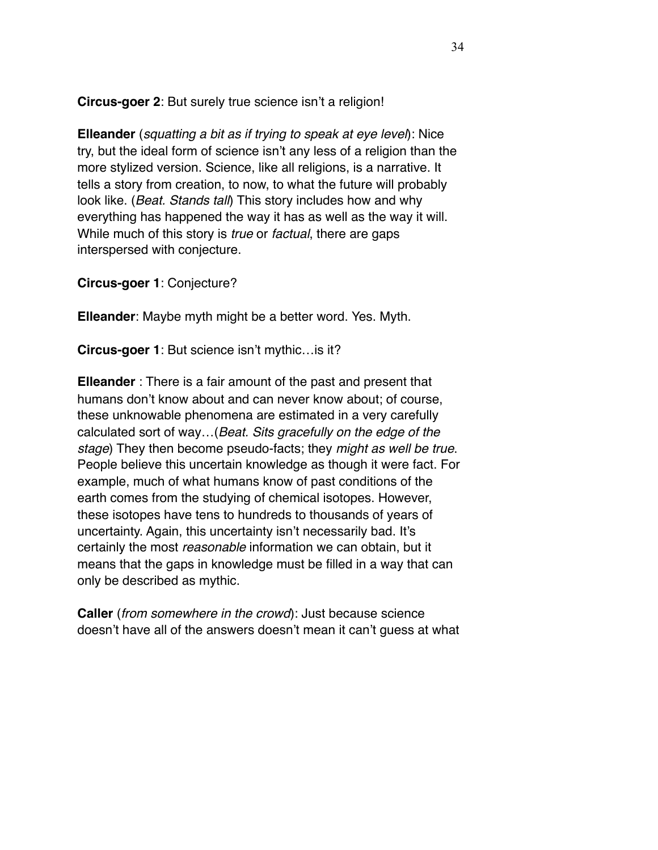**Circus-goer 2**: But surely true science isn't a religion!

**Elleander** (*squatting a bit as if trying to speak at eye level*): Nice try, but the ideal form of science isn't any less of a religion than the more stylized version. Science, like all religions, is a narrative. It tells a story from creation, to now, to what the future will probably look like. (*Beat. Stands tall*) This story includes how and why everything has happened the way it has as well as the way it will. While much of this story is *true* or *factual*, there are gaps interspersed with conjecture.

**Circus-goer 1**: Conjecture?

**Elleander**: Maybe myth might be a better word. Yes. Myth.

**Circus-goer 1**: But science isn't mythic…is it?

**Elleander** : There is a fair amount of the past and present that humans don't know about and can never know about; of course, these unknowable phenomena are estimated in a very carefully calculated sort of way…(*Beat. Sits gracefully on the edge of the stage*) They then become pseudo-facts; they *might as well be true*. People believe this uncertain knowledge as though it were fact. For example, much of what humans know of past conditions of the earth comes from the studying of chemical isotopes. However, these isotopes have tens to hundreds to thousands of years of uncertainty. Again, this uncertainty isn't necessarily bad. It's certainly the most *reasonable* information we can obtain, but it means that the gaps in knowledge must be filled in a way that can only be described as mythic.

**Caller** (*from somewhere in the crowd*): Just because science doesn't have all of the answers doesn't mean it can't guess at what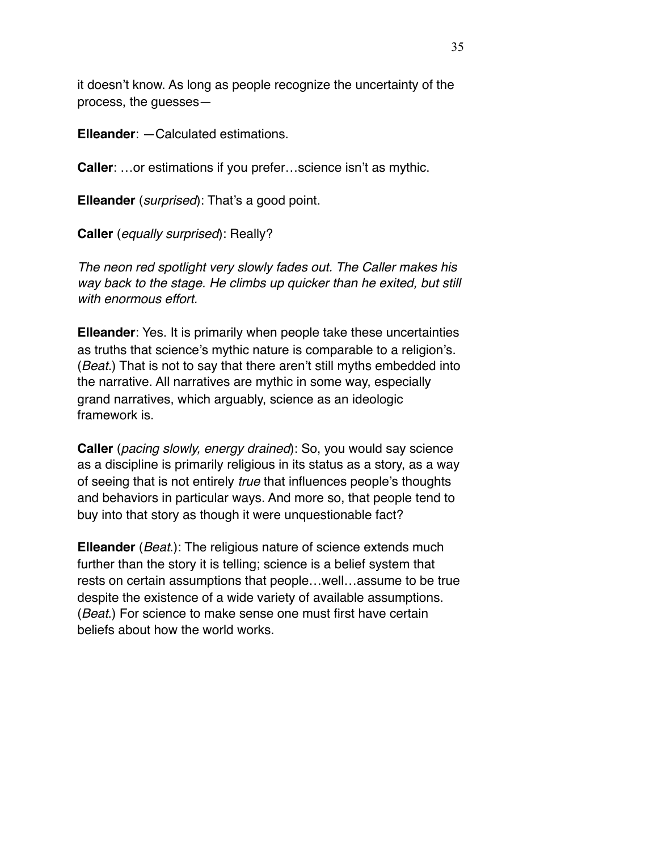it doesn't know. As long as people recognize the uncertainty of the process, the guesses—

**Elleander**: —Calculated estimations.

**Caller**: …or estimations if you prefer…science isn't as mythic.

**Elleander** (*surprised*): That's a good point.

**Caller** (*equally surprised*): Really?

*The neon red spotlight very slowly fades out. The Caller makes his way back to the stage. He climbs up quicker than he exited, but still with enormous effort.* 

**Elleander**: Yes. It is primarily when people take these uncertainties as truths that science's mythic nature is comparable to a religion's. (*Beat.*) That is not to say that there aren't still myths embedded into the narrative. All narratives are mythic in some way, especially grand narratives, which arguably, science as an ideologic framework is.

**Caller** (*pacing slowly, energy drained*): So, you would say science as a discipline is primarily religious in its status as a story, as a way of seeing that is not entirely *true* that influences people's thoughts and behaviors in particular ways. And more so, that people tend to buy into that story as though it were unquestionable fact?

**Elleander** (*Beat*.): The religious nature of science extends much further than the story it is telling; science is a belief system that rests on certain assumptions that people…well…assume to be true despite the existence of a wide variety of available assumptions. (*Beat*.) For science to make sense one must first have certain beliefs about how the world works.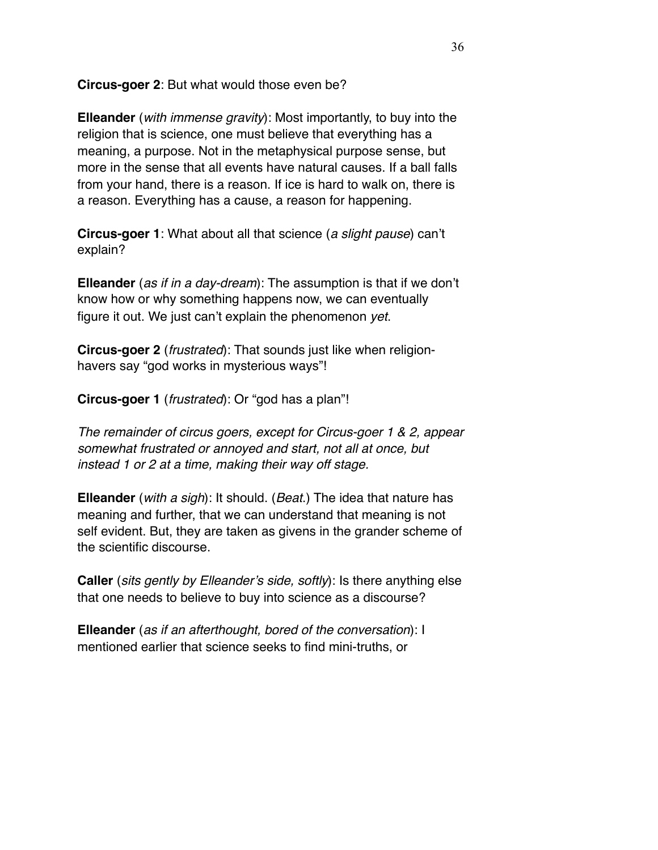**Circus-goer 2**: But what would those even be?

**Elleander** (*with immense gravity*): Most importantly, to buy into the religion that is science, one must believe that everything has a meaning, a purpose. Not in the metaphysical purpose sense, but more in the sense that all events have natural causes. If a ball falls from your hand, there is a reason. If ice is hard to walk on, there is a reason. Everything has a cause, a reason for happening.

**Circus-goer 1**: What about all that science (*a slight pause*) can't explain?

**Elleander** (*as if in a day-dream*): The assumption is that if we don't know how or why something happens now, we can eventually figure it out. We just can't explain the phenomenon *yet*.

**Circus-goer 2** (*frustrated*): That sounds just like when religionhavers say "god works in mysterious ways"!

**Circus-goer 1** (*frustrated*): Or "god has a plan"!

*The remainder of circus goers, except for Circus-goer 1 & 2, appear somewhat frustrated or annoyed and start, not all at once, but instead 1 or 2 at a time, making their way off stage.* 

**Elleander** (*with a sigh*): It should. (*Beat*.) The idea that nature has meaning and further, that we can understand that meaning is not self evident. But, they are taken as givens in the grander scheme of the scientific discourse.

**Caller** (*sits gently by Elleander's side, softly*): Is there anything else that one needs to believe to buy into science as a discourse?

**Elleander** (*as if an afterthought, bored of the conversation*): I mentioned earlier that science seeks to find mini-truths, or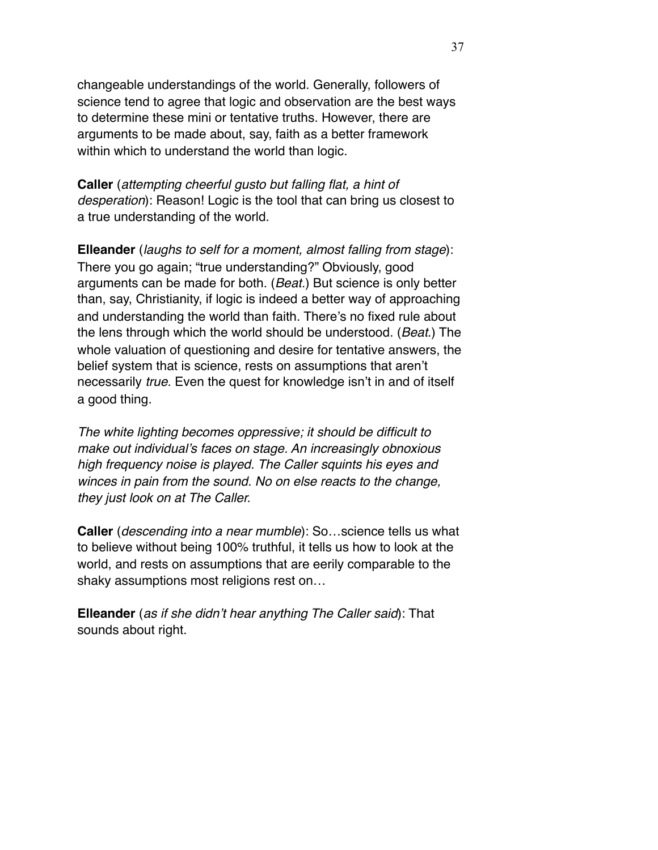changeable understandings of the world. Generally, followers of science tend to agree that logic and observation are the best ways to determine these mini or tentative truths. However, there are arguments to be made about, say, faith as a better framework within which to understand the world than logic.

**Caller** (*attempting cheerful gusto but falling flat, a hint of desperation*): Reason! Logic is the tool that can bring us closest to a true understanding of the world.

**Elleander** (*laughs to self for a moment, almost falling from stage*): There you go again; "true understanding?" Obviously, good arguments can be made for both. (*Beat.*) But science is only better than, say, Christianity, if logic is indeed a better way of approaching and understanding the world than faith. There's no fixed rule about the lens through which the world should be understood. (*Beat*.) The whole valuation of questioning and desire for tentative answers, the belief system that is science, rests on assumptions that aren't necessarily *true*. Even the quest for knowledge isn't in and of itself a good thing.

*The white lighting becomes oppressive; it should be difficult to make out individual's faces on stage. An increasingly obnoxious high frequency noise is played. The Caller squints his eyes and winces in pain from the sound. No on else reacts to the change, they just look on at The Caller.*

**Caller** (*descending into a near mumble*): So…science tells us what to believe without being 100% truthful, it tells us how to look at the world, and rests on assumptions that are eerily comparable to the shaky assumptions most religions rest on…

**Elleander** (*as if she didn't hear anything The Caller said*): That sounds about right.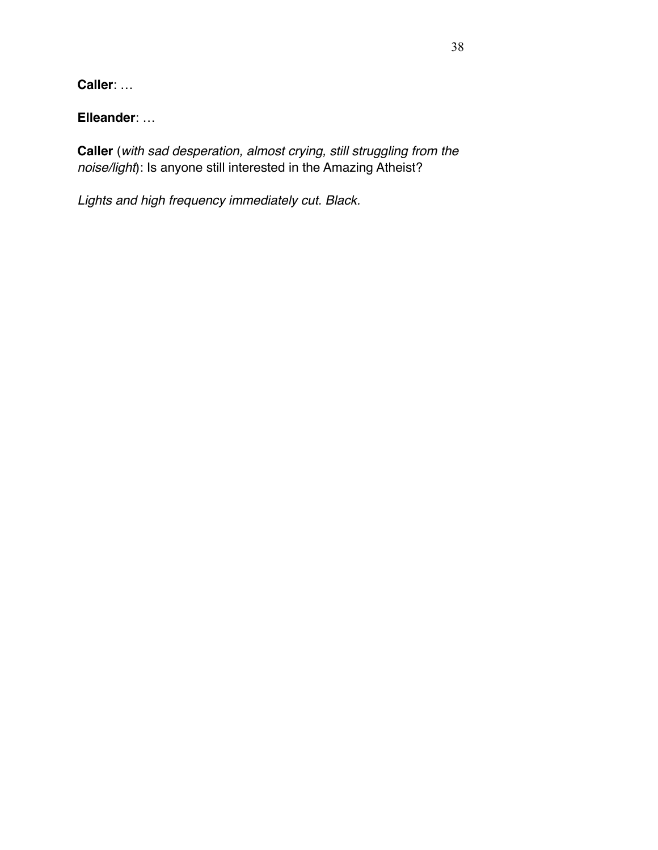**Caller**: …

**Elleander**: …

**Caller** (*with sad desperation, almost crying, still struggling from the noise/light*): Is anyone still interested in the Amazing Atheist?

*Lights and high frequency immediately cut. Black.*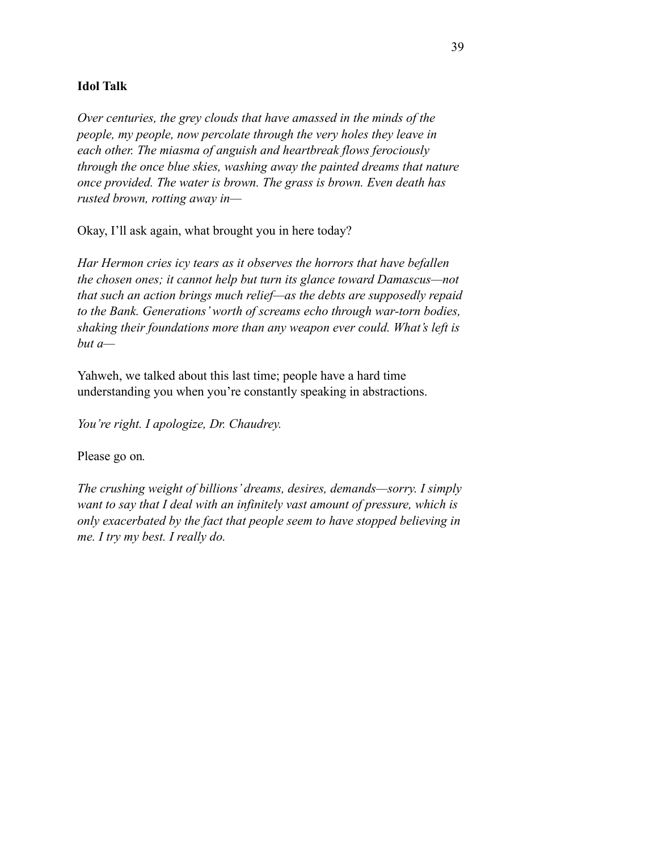### **Idol Talk**

*Over centuries, the grey clouds that have amassed in the minds of the people, my people, now percolate through the very holes they leave in each other. The miasma of anguish and heartbreak flows ferociously through the once blue skies, washing away the painted dreams that nature once provided. The water is brown. The grass is brown. Even death has rusted brown, rotting away in—* 

Okay, I'll ask again, what brought you in here today?

*Har Hermon cries icy tears as it observes the horrors that have befallen the chosen ones; it cannot help but turn its glance toward Damascus—not that such an action brings much relief—as the debts are supposedly repaid to the Bank. Generations' worth of screams echo through war-torn bodies, shaking their foundations more than any weapon ever could. What's left is but a—* 

Yahweh, we talked about this last time; people have a hard time understanding you when you're constantly speaking in abstractions.

*You're right. I apologize, Dr. Chaudrey.* 

Please go on*.* 

*The crushing weight of billions' dreams, desires, demands—sorry. I simply want to say that I deal with an infinitely vast amount of pressure, which is only exacerbated by the fact that people seem to have stopped believing in me. I try my best. I really do.*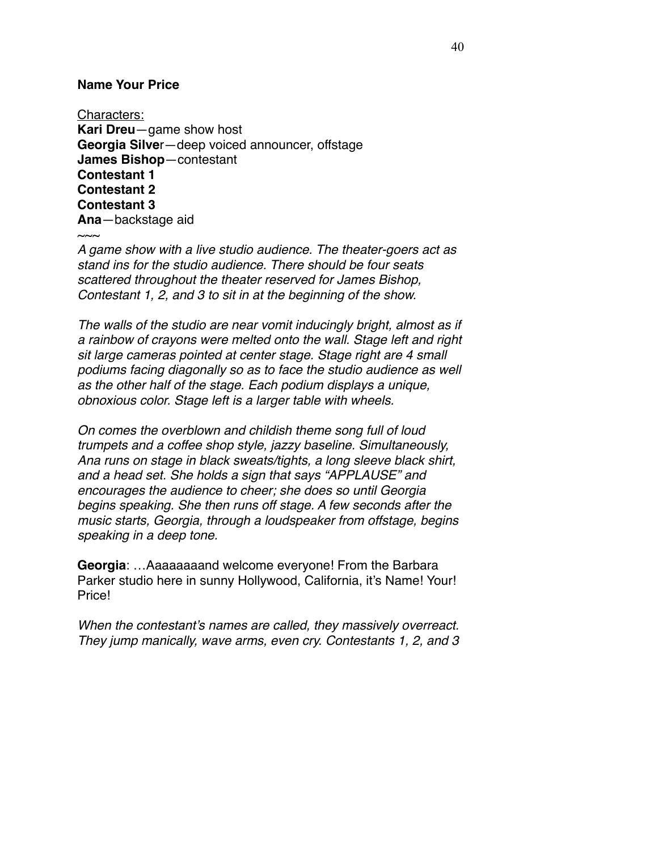### **Name Your Price**

Characters: **Kari Dreu**—game show host **Georgia Silve**r—deep voiced announcer, offstage **James Bishop**—contestant **Contestant 1 Contestant 2 Contestant 3 Ana**—backstage aid  $\sim$ ~

*A game show with a live studio audience. The theater-goers act as stand ins for the studio audience. There should be four seats scattered throughout the theater reserved for James Bishop, Contestant 1, 2, and 3 to sit in at the beginning of the show.*

*The walls of the studio are near vomit inducingly bright, almost as if a rainbow of crayons were melted onto the wall. Stage left and right sit large cameras pointed at center stage. Stage right are 4 small podiums facing diagonally so as to face the studio audience as well as the other half of the stage. Each podium displays a unique, obnoxious color. Stage left is a larger table with wheels.*

*On comes the overblown and childish theme song full of loud trumpets and a coffee shop style, jazzy baseline. Simultaneously, Ana runs on stage in black sweats/tights, a long sleeve black shirt, and a head set. She holds a sign that says "APPLAUSE" and encourages the audience to cheer; she does so until Georgia begins speaking. She then runs off stage. A few seconds after the music starts, Georgia, through a loudspeaker from offstage, begins speaking in a deep tone.*

**Georgia**: …Aaaaaaaand welcome everyone! From the Barbara Parker studio here in sunny Hollywood, California, it's Name! Your! Price!

*When the contestant's names are called, they massively overreact. They jump manically, wave arms, even cry. Contestants 1, 2, and 3*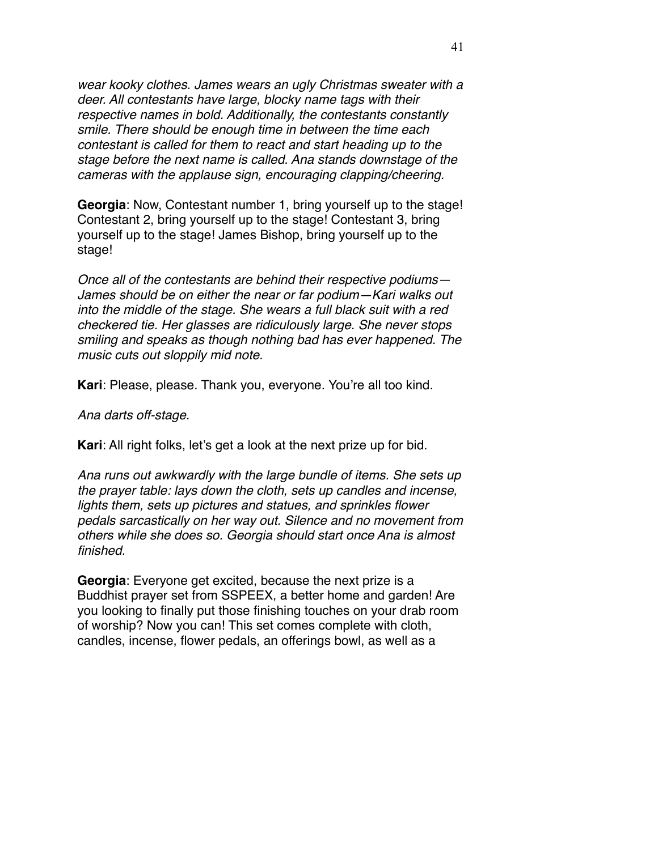*wear kooky clothes. James wears an ugly Christmas sweater with a deer. All contestants have large, blocky name tags with their respective names in bold. Additionally, the contestants constantly smile. There should be enough time in between the time each contestant is called for them to react and start heading up to the stage before the next name is called. Ana stands downstage of the cameras with the applause sign, encouraging clapping/cheering.* 

**Georgia**: Now, Contestant number 1, bring yourself up to the stage! Contestant 2, bring yourself up to the stage! Contestant 3, bring yourself up to the stage! James Bishop, bring yourself up to the stage!

*Once all of the contestants are behind their respective podiums— James should be on either the near or far podium—Kari walks out into the middle of the stage. She wears a full black suit with a red checkered tie. Her glasses are ridiculously large. She never stops smiling and speaks as though nothing bad has ever happened. The music cuts out sloppily mid note.* 

**Kari**: Please, please. Thank you, everyone. You're all too kind.

*Ana darts off-stage.* 

**Kari**: All right folks, let's get a look at the next prize up for bid.

*Ana runs out awkwardly with the large bundle of items. She sets up the prayer table: lays down the cloth, sets up candles and incense, lights them, sets up pictures and statues, and sprinkles flower pedals sarcastically on her way out. Silence and no movement from others while she does so. Georgia should start once Ana is almost finished.* 

**Georgia**: Everyone get excited, because the next prize is a Buddhist prayer set from SSPEEX, a better home and garden! Are you looking to finally put those finishing touches on your drab room of worship? Now you can! This set comes complete with cloth, candles, incense, flower pedals, an offerings bowl, as well as a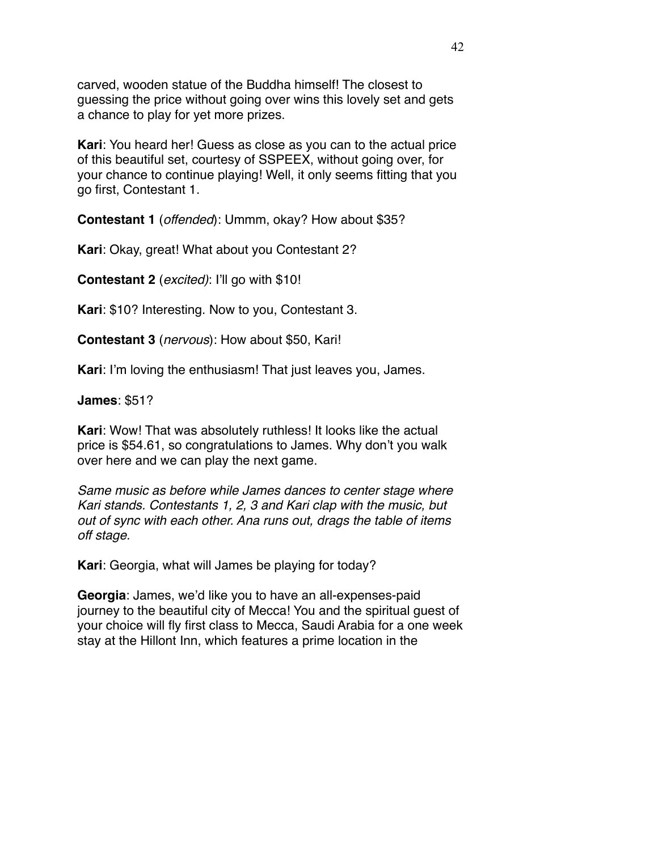carved, wooden statue of the Buddha himself! The closest to guessing the price without going over wins this lovely set and gets a chance to play for yet more prizes.

**Kari**: You heard her! Guess as close as you can to the actual price of this beautiful set, courtesy of SSPEEX, without going over, for your chance to continue playing! Well, it only seems fitting that you go first, Contestant 1.

**Contestant 1** (*offended*): Ummm, okay? How about \$35?

**Kari**: Okay, great! What about you Contestant 2?

**Contestant 2** (*excited)*: I'll go with \$10!

**Kari**: \$10? Interesting. Now to you, Contestant 3.

**Contestant 3** (*nervous*): How about \$50, Kari!

**Kari**: I'm loving the enthusiasm! That just leaves you, James.

**James**: \$51?

**Kari**: Wow! That was absolutely ruthless! It looks like the actual price is \$54.61, so congratulations to James. Why don't you walk over here and we can play the next game.

*Same music as before while James dances to center stage where Kari stands. Contestants 1, 2, 3 and Kari clap with the music, but out of sync with each other. Ana runs out, drags the table of items off stage.* 

**Kari**: Georgia, what will James be playing for today?

**Georgia**: James, we'd like you to have an all-expenses-paid journey to the beautiful city of Mecca! You and the spiritual guest of your choice will fly first class to Mecca, Saudi Arabia for a one week stay at the Hillont Inn, which features a prime location in the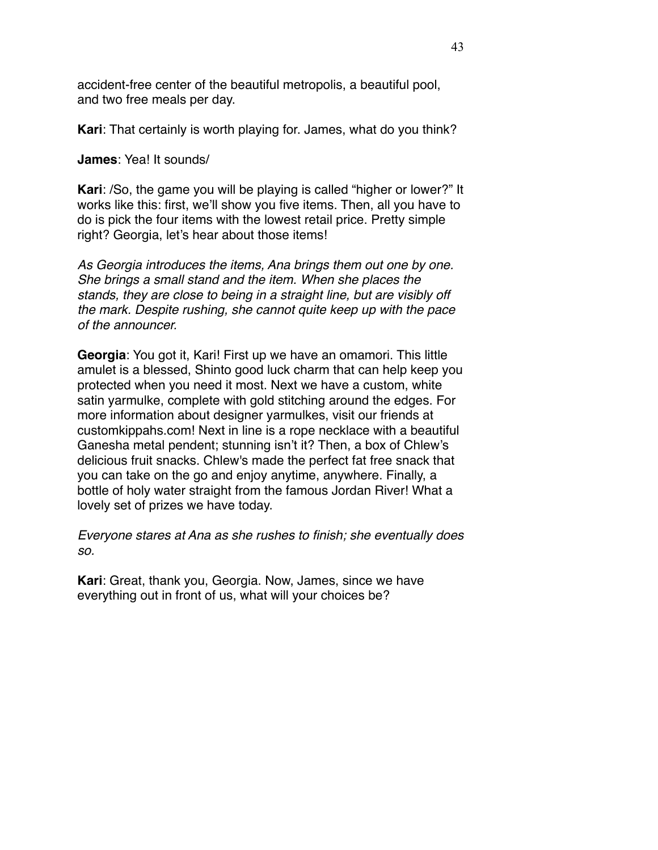accident-free center of the beautiful metropolis, a beautiful pool, and two free meals per day.

**Kari**: That certainly is worth playing for. James, what do you think?

**James**: Yea! It sounds/

**Kari**: /So, the game you will be playing is called "higher or lower?" It works like this: first, we'll show you five items. Then, all you have to do is pick the four items with the lowest retail price. Pretty simple right? Georgia, let's hear about those items!

*As Georgia introduces the items, Ana brings them out one by one. She brings a small stand and the item. When she places the stands, they are close to being in a straight line, but are visibly off the mark. Despite rushing, she cannot quite keep up with the pace of the announcer.*

**Georgia**: You got it, Kari! First up we have an omamori. This little amulet is a blessed, Shinto good luck charm that can help keep you protected when you need it most. Next we have a custom, white satin yarmulke, complete with gold stitching around the edges. For more information about designer yarmulkes, visit our friends at customkippahs.com! Next in line is a rope necklace with a beautiful Ganesha metal pendent; stunning isn't it? Then, a box of Chlew's delicious fruit snacks. Chlew's made the perfect fat free snack that you can take on the go and enjoy anytime, anywhere. Finally, a bottle of holy water straight from the famous Jordan River! What a lovely set of prizes we have today.

*Everyone stares at Ana as she rushes to finish; she eventually does so.* 

**Kari**: Great, thank you, Georgia. Now, James, since we have everything out in front of us, what will your choices be?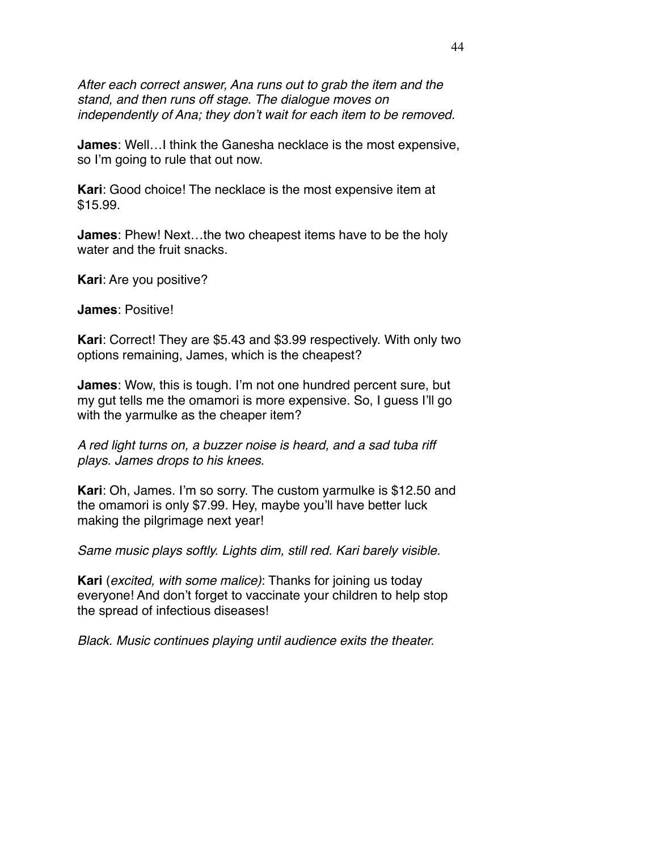*After each correct answer, Ana runs out to grab the item and the stand, and then runs off stage. The dialogue moves on independently of Ana; they don't wait for each item to be removed.* 

**James**: Well…I think the Ganesha necklace is the most expensive, so I'm going to rule that out now.

**Kari**: Good choice! The necklace is the most expensive item at \$15.99.

**James**: Phew! Next…the two cheapest items have to be the holy water and the fruit snacks.

**Kari**: Are you positive?

**James**: Positive!

**Kari**: Correct! They are \$5.43 and \$3.99 respectively. With only two options remaining, James, which is the cheapest?

**James**: Wow, this is tough. I'm not one hundred percent sure, but my gut tells me the omamori is more expensive. So, I guess I'll go with the yarmulke as the cheaper item?

*A red light turns on, a buzzer noise is heard, and a sad tuba riff plays. James drops to his knees*.

**Kari**: Oh, James. I'm so sorry. The custom yarmulke is \$12.50 and the omamori is only \$7.99. Hey, maybe you'll have better luck making the pilgrimage next year!

*Same music plays softly. Lights dim, still red. Kari barely visible.* 

**Kari** (*excited, with some malice)*: Thanks for joining us today everyone! And don't forget to vaccinate your children to help stop the spread of infectious diseases!

*Black. Music continues playing until audience exits the theater.*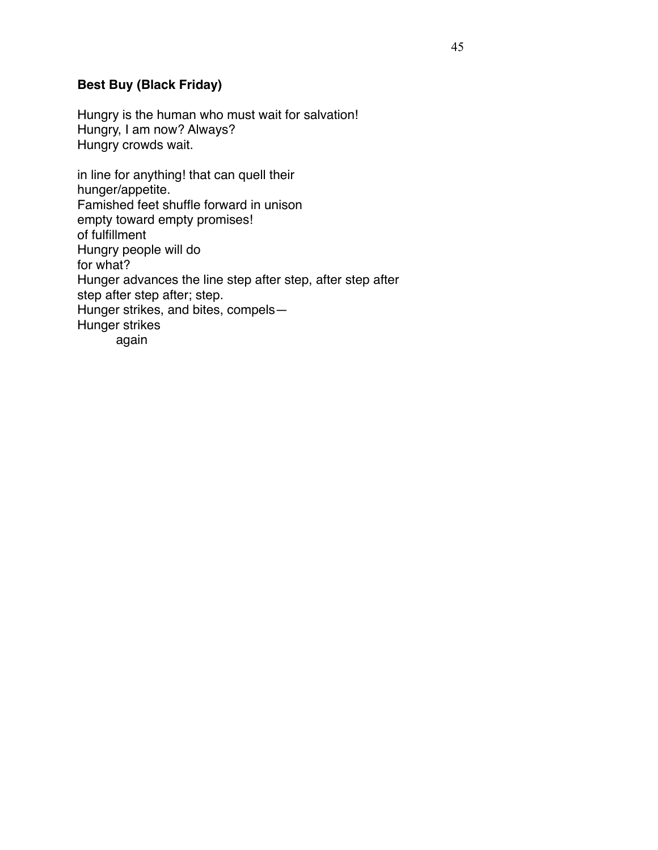# **Best Buy (Black Friday)**

Hungry is the human who must wait for salvation! Hungry, I am now? Always? Hungry crowds wait.

in line for anything! that can quell their hunger/appetite. Famished feet shuffle forward in unison empty toward empty promises! of fulfillment Hungry people will do for what? Hunger advances the line step after step, after step after step after step after; step. Hunger strikes, and bites, compels— Hunger strikes again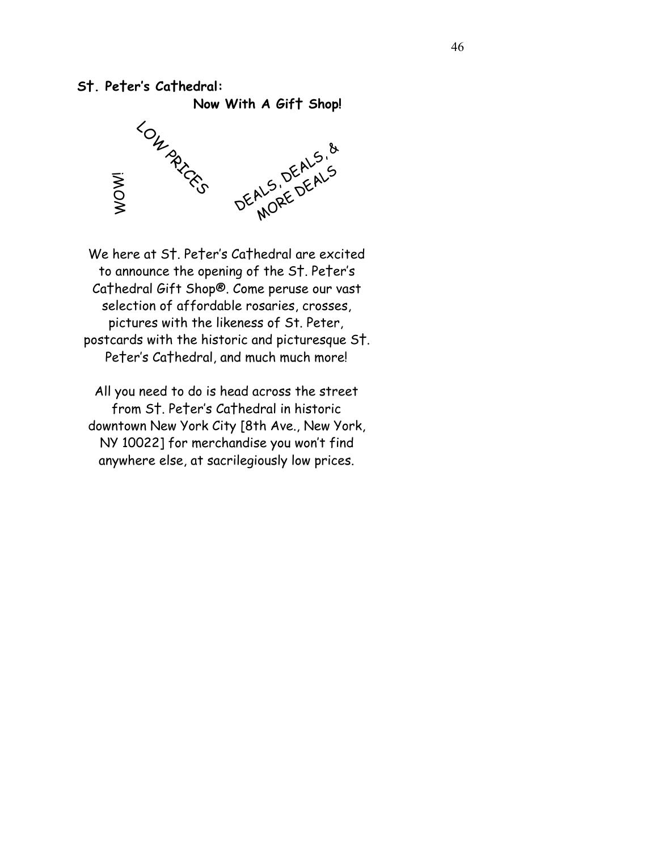## **S†. Pe†er's Ca†hedral:**



We here at S†. Pe†er's Ca†hedral are excited to announce the opening of the S†. Pe†er's Ca†hedral Gift Shop®. Come peruse our vast selection of affordable rosaries, crosses, pictures with the likeness of St. Peter, postcards with the historic and picturesque S†. Pe†er's Ca†hedral, and much much more!

All you need to do is head across the street from S†. Pe†er's Ca†hedral in historic downtown New York City [8th Ave., New York, NY 10022] for merchandise you won't find anywhere else, at sacrilegiously low prices.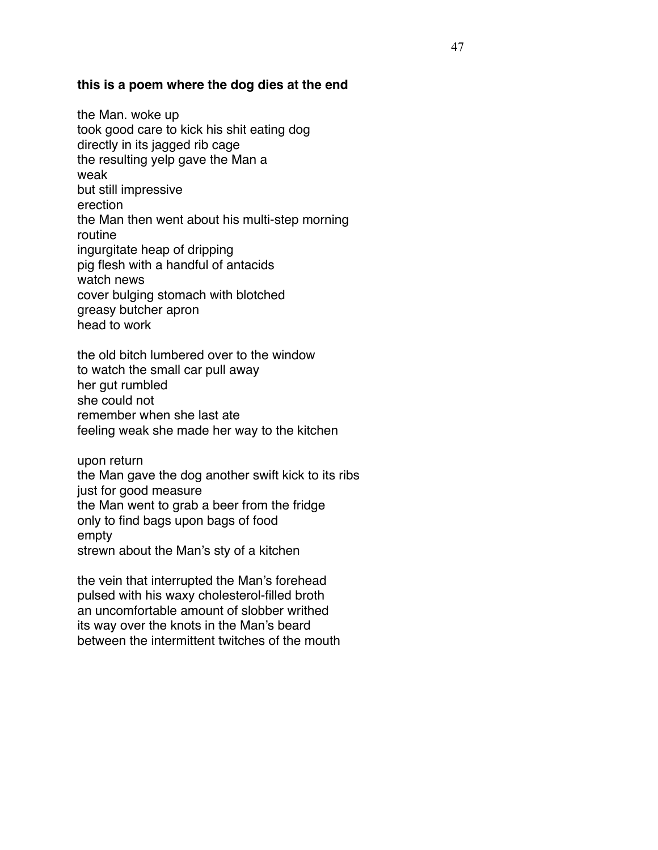### **this is a poem where the dog dies at the end**

the Man. woke up took good care to kick his shit eating dog directly in its jagged rib cage the resulting yelp gave the Man a weak but still impressive erection the Man then went about his multi-step morning routine ingurgitate heap of dripping pig flesh with a handful of antacids watch news cover bulging stomach with blotched greasy butcher apron head to work

the old bitch lumbered over to the window to watch the small car pull away her gut rumbled she could not remember when she last ate feeling weak she made her way to the kitchen

upon return the Man gave the dog another swift kick to its ribs just for good measure the Man went to grab a beer from the fridge only to find bags upon bags of food empty strewn about the Man's sty of a kitchen

the vein that interrupted the Man's forehead pulsed with his waxy cholesterol-filled broth an uncomfortable amount of slobber writhed its way over the knots in the Man's beard between the intermittent twitches of the mouth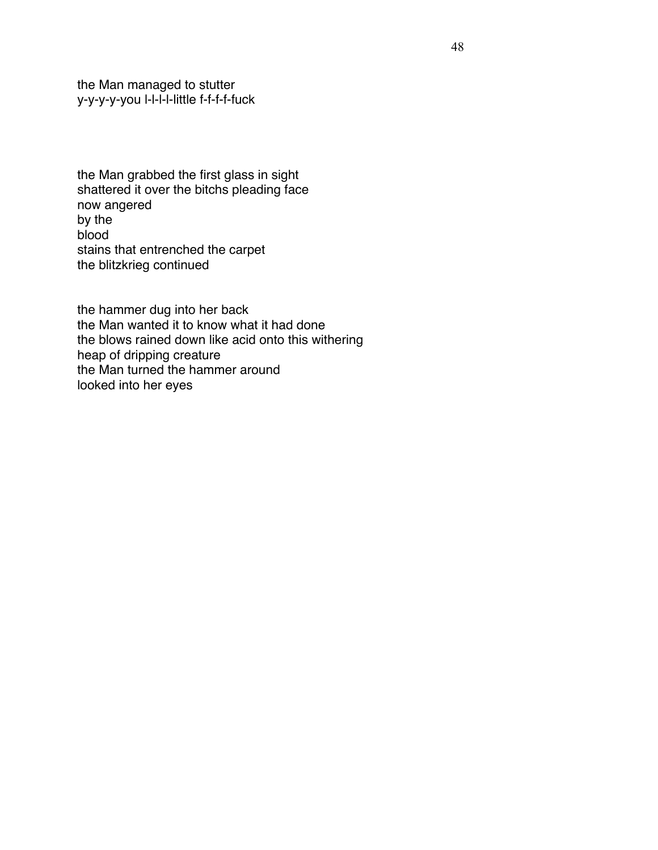the Man managed to stutter y-y-y-y-you l-l-l-l-little f-f-f-f-fuck

the Man grabbed the first glass in sight shattered it over the bitchs pleading face now angered by the blood stains that entrenched the carpet the blitzkrieg continued

the hammer dug into her back the Man wanted it to know what it had done the blows rained down like acid onto this withering heap of dripping creature the Man turned the hammer around looked into her eyes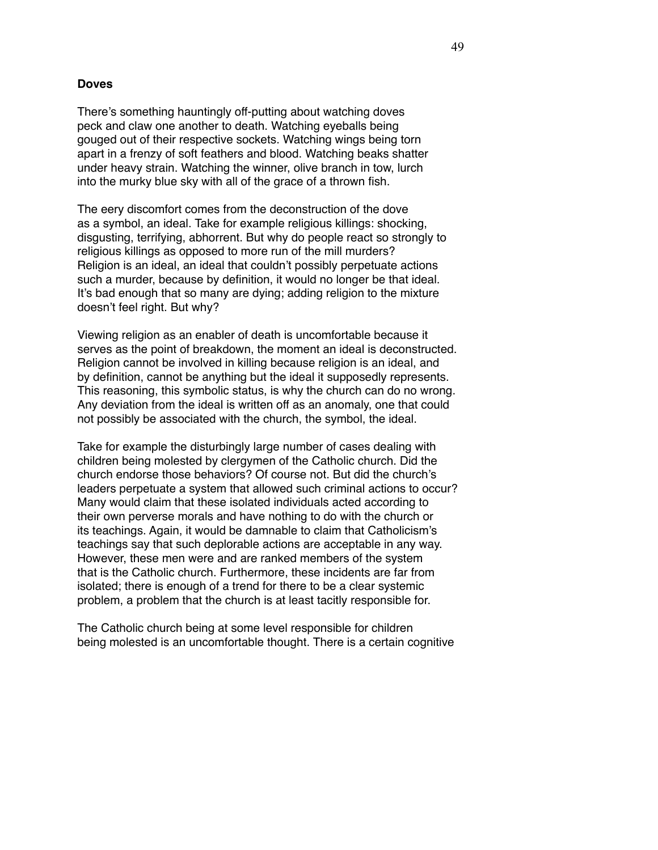#### **Doves**

There's something hauntingly off-putting about watching doves peck and claw one another to death. Watching eyeballs being gouged out of their respective sockets. Watching wings being torn apart in a frenzy of soft feathers and blood. Watching beaks shatter under heavy strain. Watching the winner, olive branch in tow, lurch into the murky blue sky with all of the grace of a thrown fish.

The eery discomfort comes from the deconstruction of the dove as a symbol, an ideal. Take for example religious killings: shocking, disgusting, terrifying, abhorrent. But why do people react so strongly to religious killings as opposed to more run of the mill murders? Religion is an ideal, an ideal that couldn't possibly perpetuate actions such a murder, because by definition, it would no longer be that ideal. It's bad enough that so many are dying; adding religion to the mixture doesn't feel right. But why?

Viewing religion as an enabler of death is uncomfortable because it serves as the point of breakdown, the moment an ideal is deconstructed. Religion cannot be involved in killing because religion is an ideal, and by definition, cannot be anything but the ideal it supposedly represents. This reasoning, this symbolic status, is why the church can do no wrong. Any deviation from the ideal is written off as an anomaly, one that could not possibly be associated with the church, the symbol, the ideal.

Take for example the disturbingly large number of cases dealing with children being molested by clergymen of the Catholic church. Did the church endorse those behaviors? Of course not. But did the church's leaders perpetuate a system that allowed such criminal actions to occur? Many would claim that these isolated individuals acted according to their own perverse morals and have nothing to do with the church or its teachings. Again, it would be damnable to claim that Catholicism's teachings say that such deplorable actions are acceptable in any way. However, these men were and are ranked members of the system that is the Catholic church. Furthermore, these incidents are far from isolated; there is enough of a trend for there to be a clear systemic problem, a problem that the church is at least tacitly responsible for.

The Catholic church being at some level responsible for children being molested is an uncomfortable thought. There is a certain cognitive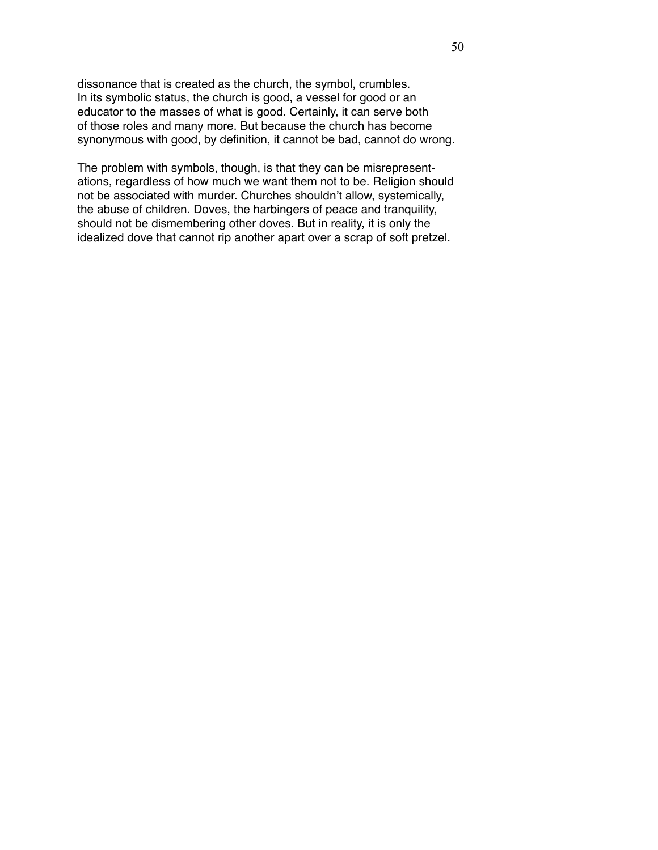dissonance that is created as the church, the symbol, crumbles. In its symbolic status, the church is good, a vessel for good or an educator to the masses of what is good. Certainly, it can serve both of those roles and many more. But because the church has become synonymous with good, by definition, it cannot be bad, cannot do wrong.

The problem with symbols, though, is that they can be misrepresentations, regardless of how much we want them not to be. Religion should not be associated with murder. Churches shouldn't allow, systemically, the abuse of children. Doves, the harbingers of peace and tranquility, should not be dismembering other doves. But in reality, it is only the idealized dove that cannot rip another apart over a scrap of soft pretzel.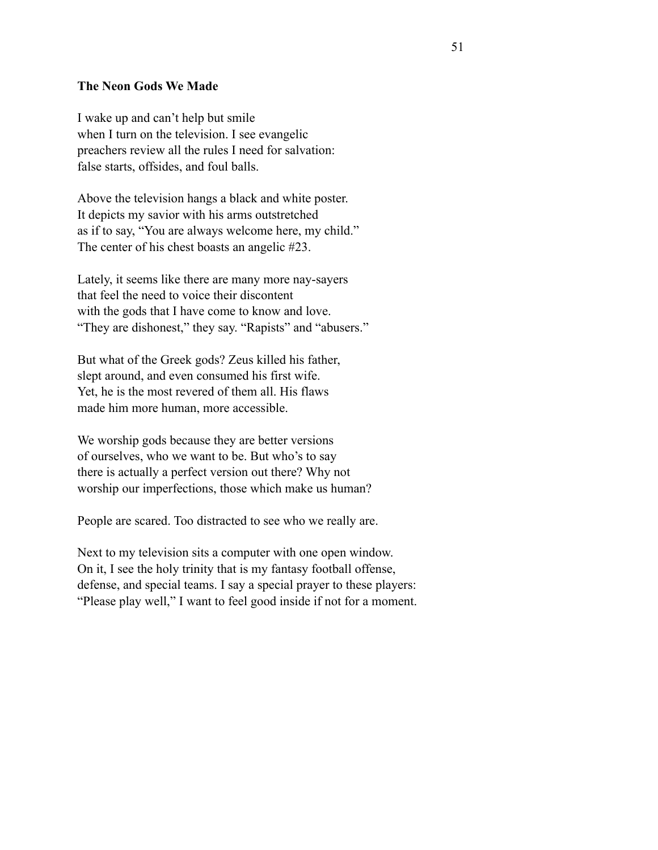#### **The Neon Gods We Made**

I wake up and can't help but smile when I turn on the television. I see evangelic preachers review all the rules I need for salvation: false starts, offsides, and foul balls.

Above the television hangs a black and white poster. It depicts my savior with his arms outstretched as if to say, "You are always welcome here, my child." The center of his chest boasts an angelic #23.

Lately, it seems like there are many more nay-sayers that feel the need to voice their discontent with the gods that I have come to know and love. "They are dishonest," they say. "Rapists" and "abusers."

But what of the Greek gods? Zeus killed his father, slept around, and even consumed his first wife. Yet, he is the most revered of them all. His flaws made him more human, more accessible.

We worship gods because they are better versions of ourselves, who we want to be. But who's to say there is actually a perfect version out there? Why not worship our imperfections, those which make us human?

People are scared. Too distracted to see who we really are.

Next to my television sits a computer with one open window. On it, I see the holy trinity that is my fantasy football offense, defense, and special teams. I say a special prayer to these players: "Please play well," I want to feel good inside if not for a moment.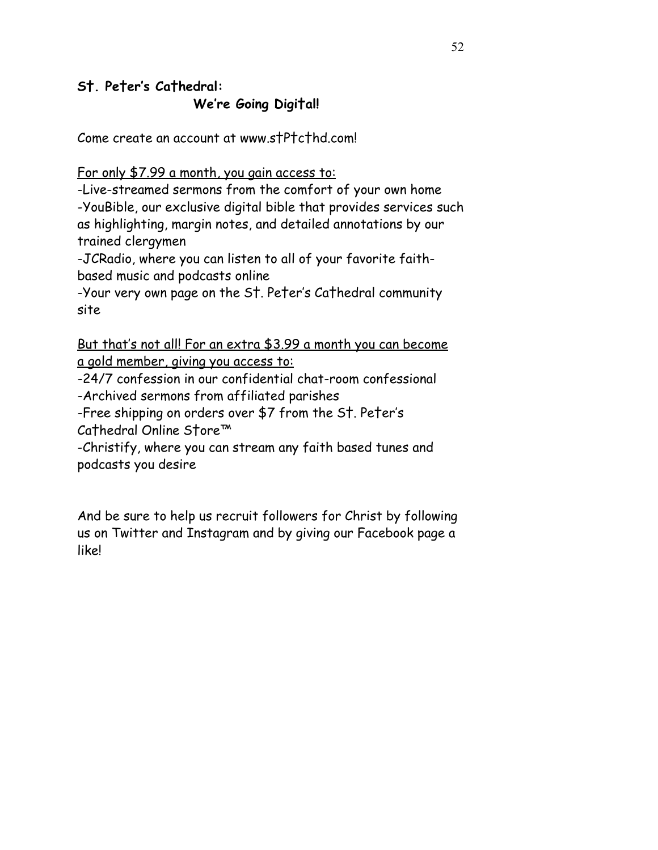# **S†. Pe†er's Ca†hedral:**

 **We're Going Digi†al!**

Come create an account at www.s†P†c†hd.com!

For only \$7.99 a month, you gain access to:

-Live-streamed sermons from the comfort of your own home -YouBible, our exclusive digital bible that provides services such as highlighting, margin notes, and detailed annotations by our trained clergymen

-JCRadio, where you can listen to all of your favorite faithbased music and podcasts online

-Your very own page on the S†. Pe†er's Ca†hedral community site

But that's not all! For an extra \$3.99 a month you can become a gold member, giving you access to:

-24/7 confession in our confidential chat-room confessional -Archived sermons from affiliated parishes

-Free shipping on orders over \$7 from the S†. Pe†er's

Ca†hedral Online S†ore™

-Christify, where you can stream any faith based tunes and podcasts you desire

And be sure to help us recruit followers for Christ by following us on Twitter and Instagram and by giving our Facebook page a like!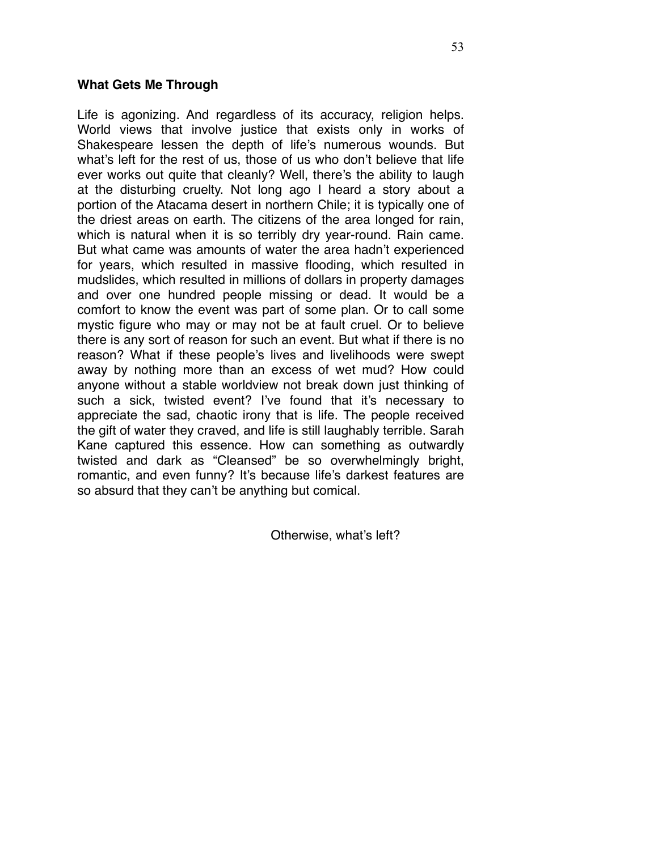### **What Gets Me Through**

Life is agonizing. And regardless of its accuracy, religion helps. World views that involve justice that exists only in works of Shakespeare lessen the depth of life's numerous wounds. But what's left for the rest of us, those of us who don't believe that life ever works out quite that cleanly? Well, there's the ability to laugh at the disturbing cruelty. Not long ago I heard a story about a portion of the Atacama desert in northern Chile; it is typically one of the driest areas on earth. The citizens of the area longed for rain, which is natural when it is so terribly dry year-round. Rain came. But what came was amounts of water the area hadn't experienced for years, which resulted in massive flooding, which resulted in mudslides, which resulted in millions of dollars in property damages and over one hundred people missing or dead. It would be a comfort to know the event was part of some plan. Or to call some mystic figure who may or may not be at fault cruel. Or to believe there is any sort of reason for such an event. But what if there is no reason? What if these people's lives and livelihoods were swept away by nothing more than an excess of wet mud? How could anyone without a stable worldview not break down just thinking of such a sick, twisted event? I've found that it's necessary to appreciate the sad, chaotic irony that is life. The people received the gift of water they craved, and life is still laughably terrible. Sarah Kane captured this essence. How can something as outwardly twisted and dark as "Cleansed" be so overwhelmingly bright, romantic, and even funny? It's because life's darkest features are so absurd that they can't be anything but comical.

Otherwise, what's left?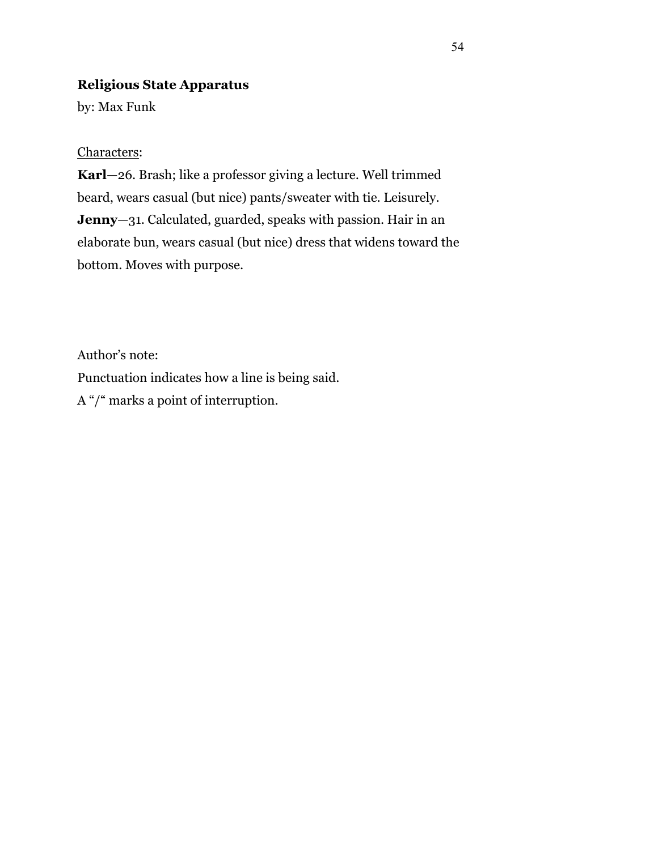# **Religious State Apparatus**

by: Max Funk

Characters:

**Karl**—26. Brash; like a professor giving a lecture. Well trimmed beard, wears casual (but nice) pants/sweater with tie. Leisurely. **Jenny**—31. Calculated, guarded, speaks with passion. Hair in an elaborate bun, wears casual (but nice) dress that widens toward the bottom. Moves with purpose.

Author's note: Punctuation indicates how a line is being said. A "/" marks a point of interruption.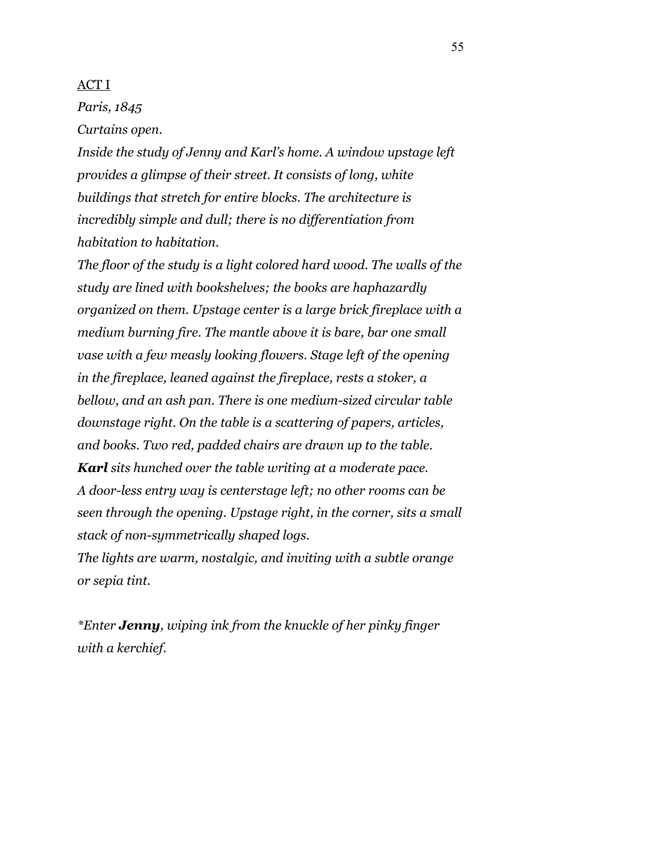### ACT I

*Paris, 1845* 

*Curtains open.* 

*Inside the study of Jenny and Karl's home. A window upstage left provides a glimpse of their street. It consists of long, white buildings that stretch for entire blocks. The architecture is incredibly simple and dull; there is no differentiation from habitation to habitation.* 

*The floor of the study is a light colored hard wood. The walls of the study are lined with bookshelves; the books are haphazardly organized on them. Upstage center is a large brick fireplace with a medium burning fire. The mantle above it is bare, bar one small vase with a few measly looking flowers. Stage left of the opening in the fireplace, leaned against the fireplace, rests a stoker, a bellow, and an ash pan. There is one medium-sized circular table downstage right. On the table is a scattering of papers, articles, and books. Two red, padded chairs are drawn up to the table. Karl sits hunched over the table writing at a moderate pace. A door-less entry way is centerstage left; no other rooms can be seen through the opening. Upstage right, in the corner, sits a small stack of non-symmetrically shaped logs.* 

*The lights are warm, nostalgic, and inviting with a subtle orange or sepia tint.* 

*\*Enter Jenny, wiping ink from the knuckle of her pinky finger with a kerchief.*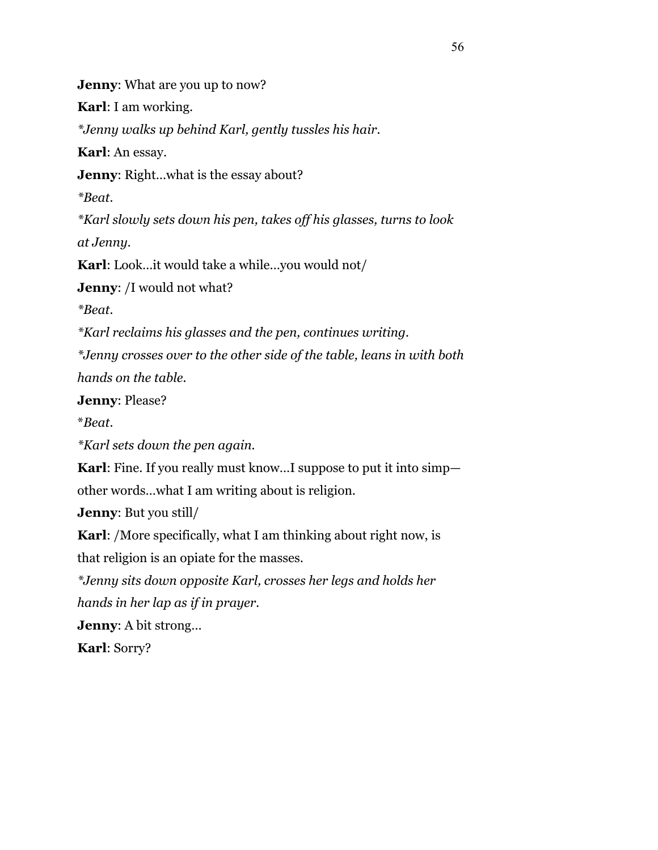**Jenny**: What are you up to now? **Karl**: I am working. *\*Jenny walks up behind Karl, gently tussles his hair.*  **Karl**: An essay. **Jenny**: Right...what is the essay about? *\*Beat. \*Karl slowly sets down his pen, takes off his glasses, turns to look at Jenny.* **Karl**: Look…it would take a while…you would not/ **Jenny**: /I would not what? *\*Beat. \*Karl reclaims his glasses and the pen, continues writing. \*Jenny crosses over to the other side of the table, leans in with both hands on the table.*  **Jenny**: Please? \**Beat. \*Karl sets down the pen again.* **Karl**: Fine. If you really must know…I suppose to put it into simp other words…what I am writing about is religion.

**Jenny**: But you still/

**Karl**: /More specifically, what I am thinking about right now, is that religion is an opiate for the masses.

*\*Jenny sits down opposite Karl, crosses her legs and holds her* 

*hands in her lap as if in prayer.* 

**Jenny**: A bit strong…

**Karl**: Sorry?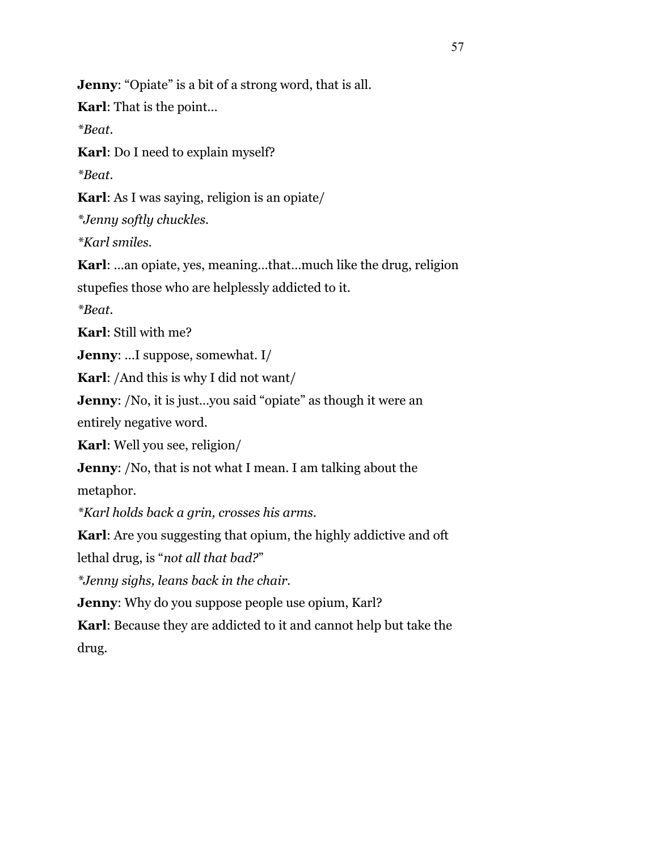**Jenny:** "Opiate" is a bit of a strong word, that is all.

**Karl**: That is the point…

*\*Beat.* 

**Karl**: Do I need to explain myself?

*\*Beat.* 

**Karl**: As I was saying, religion is an opiate/

*\*Jenny softly chuckles.* 

*\*Karl smiles.* 

**Karl**: …an opiate, yes, meaning…that…much like the drug, religion

stupefies those who are helplessly addicted to it.

*\*Beat.* 

**Karl**: Still with me?

**Jenny**: …I suppose, somewhat. I/

**Karl**: /And this is why I did not want/

**Jenny:** /No, it is just...you said "opiate" as though it were an

entirely negative word.

**Karl**: Well you see, religion/

**Jenny**: /No, that is not what I mean. I am talking about the

metaphor.

*\*Karl holds back a grin, crosses his arms.* 

**Karl**: Are you suggesting that opium, the highly addictive and oft

lethal drug, is "*not all that bad?*"

*\*Jenny sighs, leans back in the chair.* 

**Jenny:** Why do you suppose people use opium, Karl?

**Karl**: Because they are addicted to it and cannot help but take the drug.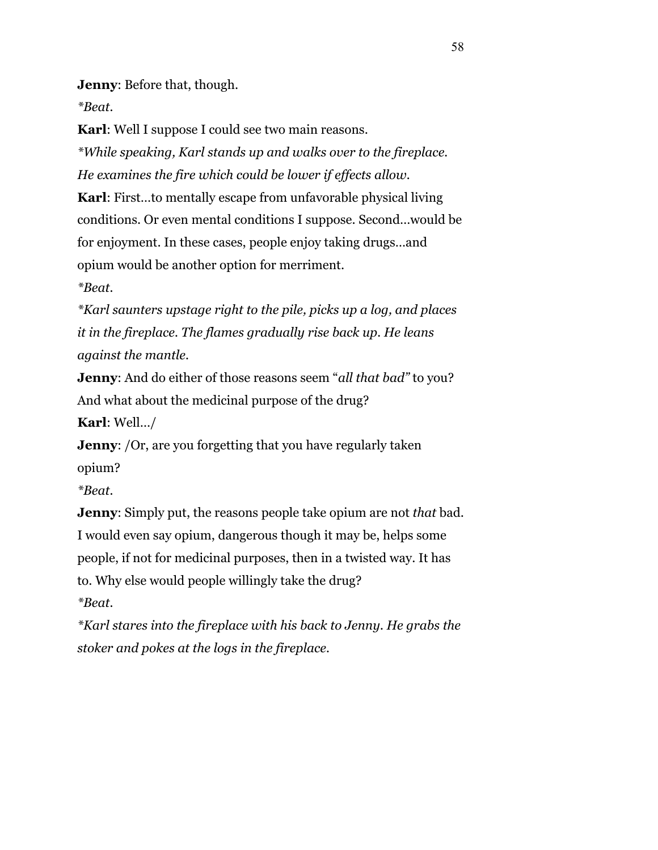**Jenny**: Before that, though.

*\*Beat.* 

**Karl**: Well I suppose I could see two main reasons.

*\*While speaking, Karl stands up and walks over to the fireplace. He examines the fire which could be lower if effects allow.* 

**Karl**: First…to mentally escape from unfavorable physical living conditions. Or even mental conditions I suppose. Second…would be for enjoyment. In these cases, people enjoy taking drugs…and opium would be another option for merriment.

*\*Beat.* 

*\*Karl saunters upstage right to the pile, picks up a log, and places it in the fireplace. The flames gradually rise back up. He leans against the mantle.* 

**Jenny**: And do either of those reasons seem "*all that bad"* to you? And what about the medicinal purpose of the drug?

**Karl**: Well…/

**Jenny:** /Or, are you forgetting that you have regularly taken opium?

*\*Beat.* 

**Jenny**: Simply put, the reasons people take opium are not *that* bad. I would even say opium, dangerous though it may be, helps some people, if not for medicinal purposes, then in a twisted way. It has to. Why else would people willingly take the drug? *\*Beat.* 

*\*Karl stares into the fireplace with his back to Jenny. He grabs the stoker and pokes at the logs in the fireplace.*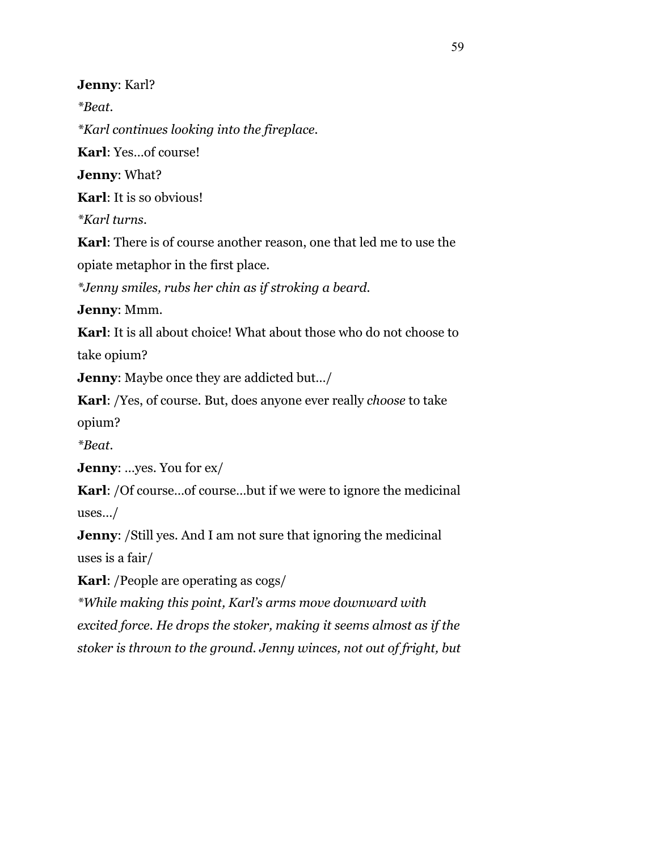**Jenny**: Karl?

*\*Beat.* 

*\*Karl continues looking into the fireplace.* 

**Karl**: Yes…of course!

**Jenny**: What?

**Karl**: It is so obvious!

*\*Karl turns.* 

**Karl**: There is of course another reason, one that led me to use the

opiate metaphor in the first place.

*\*Jenny smiles, rubs her chin as if stroking a beard.* 

**Jenny**: Mmm.

**Karl**: It is all about choice! What about those who do not choose to take opium?

**Jenny**: Maybe once they are addicted but…/

**Karl**: /Yes, of course. But, does anyone ever really *choose* to take opium?

*\*Beat.* 

**Jenny**: …yes. You for ex/

**Karl**: /Of course…of course…but if we were to ignore the medicinal uses…/

**Jenny:** /Still yes. And I am not sure that ignoring the medicinal uses is a fair/

**Karl**: /People are operating as cogs/

*\*While making this point, Karl's arms move downward with excited force. He drops the stoker, making it seems almost as if the stoker is thrown to the ground. Jenny winces, not out of fright, but*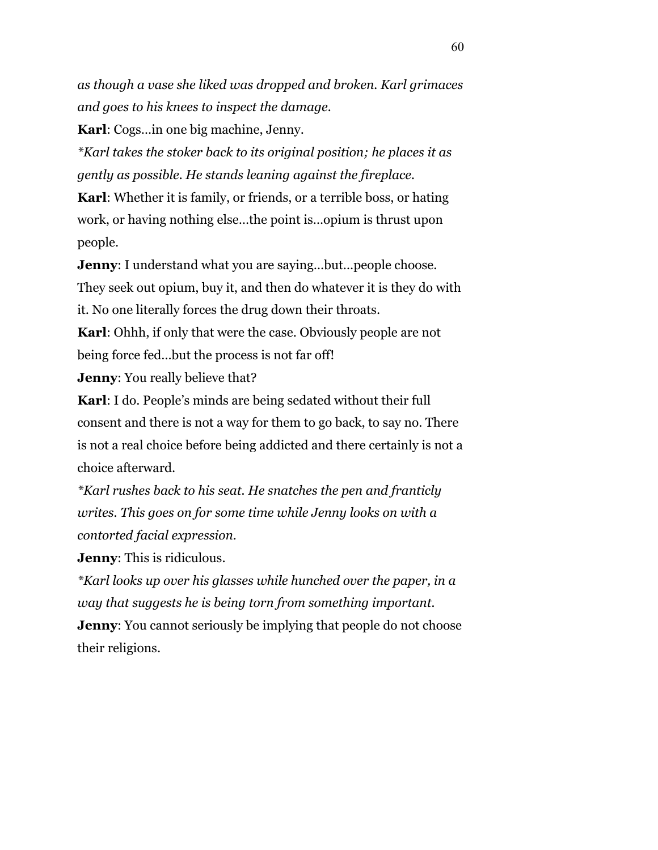*as though a vase she liked was dropped and broken. Karl grimaces and goes to his knees to inspect the damage.* 

**Karl**: Cogs…in one big machine, Jenny.

*\*Karl takes the stoker back to its original position; he places it as gently as possible. He stands leaning against the fireplace.* 

**Karl**: Whether it is family, or friends, or a terrible boss, or hating work, or having nothing else…the point is…opium is thrust upon people.

**Jenny**: I understand what you are saying...but...people choose.

They seek out opium, buy it, and then do whatever it is they do with

it. No one literally forces the drug down their throats.

**Karl**: Ohhh, if only that were the case. Obviously people are not being force fed…but the process is not far off!

**Jenny:** You really believe that?

**Karl**: I do. People's minds are being sedated without their full consent and there is not a way for them to go back, to say no. There is not a real choice before being addicted and there certainly is not a choice afterward.

*\*Karl rushes back to his seat. He snatches the pen and franticly writes. This goes on for some time while Jenny looks on with a contorted facial expression.* 

**Jenny**: This is ridiculous.

*\*Karl looks up over his glasses while hunched over the paper, in a way that suggests he is being torn from something important.*  **Jenny:** You cannot seriously be implying that people do not choose their religions.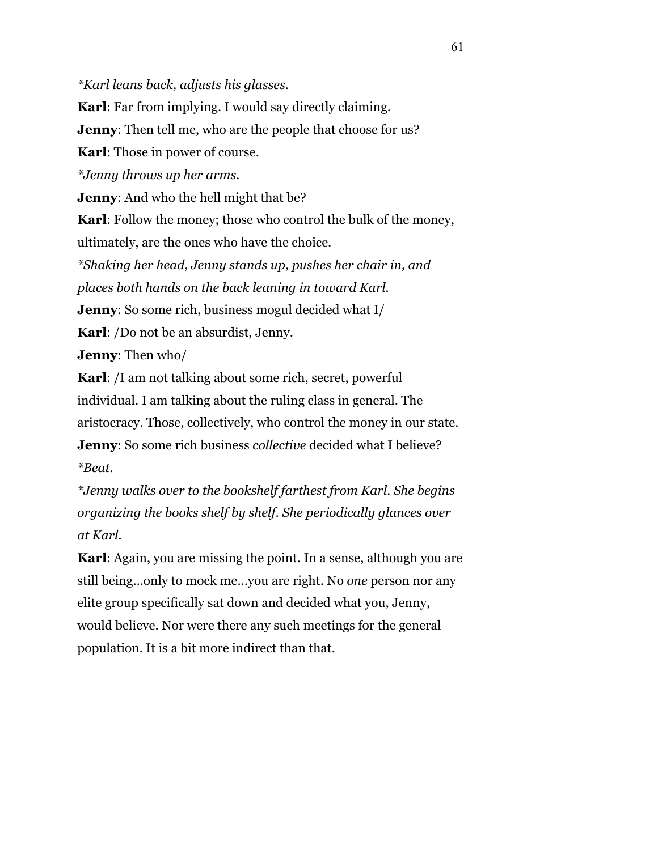*\*Karl leans back, adjusts his glasses.* 

**Karl**: Far from implying. I would say directly claiming. **Jenny:** Then tell me, who are the people that choose for us? **Karl**: Those in power of course. *\*Jenny throws up her arms.*  **Jenny**: And who the hell might that be? **Karl**: Follow the money; those who control the bulk of the money, ultimately, are the ones who have the choice. *\*Shaking her head, Jenny stands up, pushes her chair in, and places both hands on the back leaning in toward Karl.*  **Jenny**: So some rich, business mogul decided what I/ **Karl**: /Do not be an absurdist, Jenny. **Jenny**: Then who/ **Karl**: /I am not talking about some rich, secret, powerful individual. I am talking about the ruling class in general. The aristocracy. Those, collectively, who control the money in our state. **Jenny**: So some rich business *collective* decided what I believe?

*\*Beat.* 

*\*Jenny walks over to the bookshelf farthest from Karl. She begins organizing the books shelf by shelf. She periodically glances over at Karl.* 

**Karl**: Again, you are missing the point. In a sense, although you are still being…only to mock me…you are right. No *one* person nor any elite group specifically sat down and decided what you, Jenny, would believe. Nor were there any such meetings for the general population. It is a bit more indirect than that.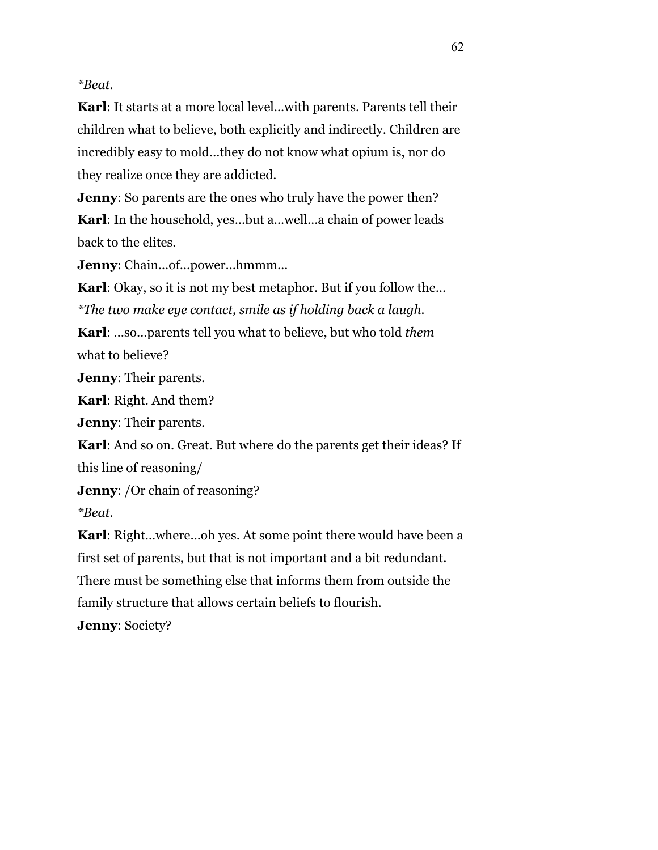## *\*Beat.*

**Karl**: It starts at a more local level…with parents. Parents tell their children what to believe, both explicitly and indirectly. Children are incredibly easy to mold…they do not know what opium is, nor do they realize once they are addicted.

**Jenny**: So parents are the ones who truly have the power then? **Karl**: In the household, yes…but a…well…a chain of power leads back to the elites.

**Jenny**: Chain…of…power…hmmm…

**Karl:** Okay, so it is not my best metaphor. But if you follow the... *\*The two make eye contact, smile as if holding back a laugh.* 

**Karl**: …so…parents tell you what to believe, but who told *them* what to believe?

**Jenny**: Their parents.

**Karl**: Right. And them?

**Jenny**: Their parents.

**Karl**: And so on. Great. But where do the parents get their ideas? If this line of reasoning/

**Jenny**: /Or chain of reasoning?

*\*Beat.* 

**Karl**: Right…where…oh yes. At some point there would have been a first set of parents, but that is not important and a bit redundant. There must be something else that informs them from outside the family structure that allows certain beliefs to flourish.

**Jenny**: Society?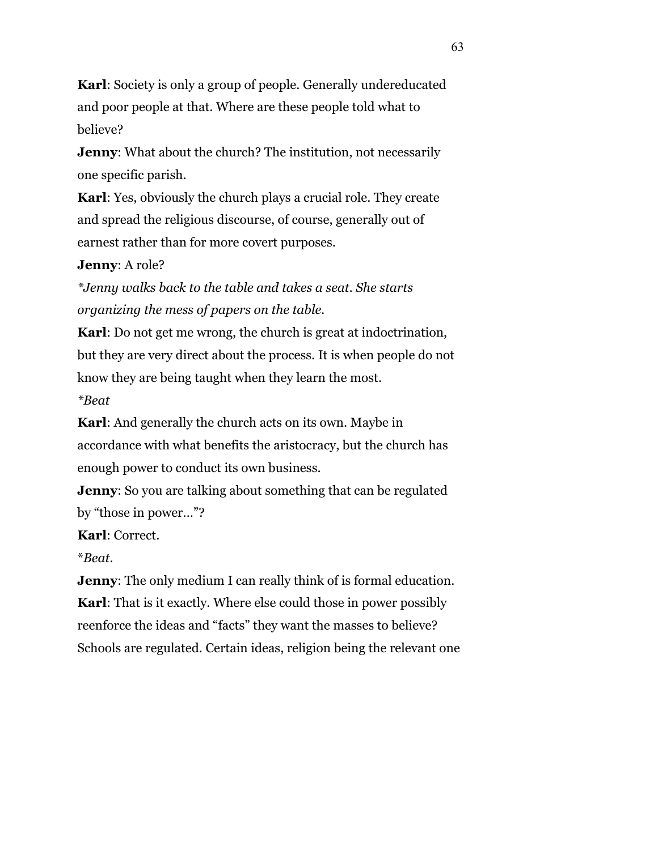**Karl**: Society is only a group of people. Generally undereducated and poor people at that. Where are these people told what to believe?

**Jenny**: What about the church? The institution, not necessarily one specific parish.

**Karl**: Yes, obviously the church plays a crucial role. They create and spread the religious discourse, of course, generally out of earnest rather than for more covert purposes.

**Jenny**: A role?

*\*Jenny walks back to the table and takes a seat. She starts organizing the mess of papers on the table.* 

**Karl**: Do not get me wrong, the church is great at indoctrination, but they are very direct about the process. It is when people do not know they are being taught when they learn the most. *\*Beat*

**Karl**: And generally the church acts on its own. Maybe in accordance with what benefits the aristocracy, but the church has enough power to conduct its own business.

**Jenny:** So you are talking about something that can be regulated by "those in power…"?

**Karl**: Correct.

\**Beat.*

**Jenny:** The only medium I can really think of is formal education. **Karl**: That is it exactly. Where else could those in power possibly reenforce the ideas and "facts" they want the masses to believe? Schools are regulated. Certain ideas, religion being the relevant one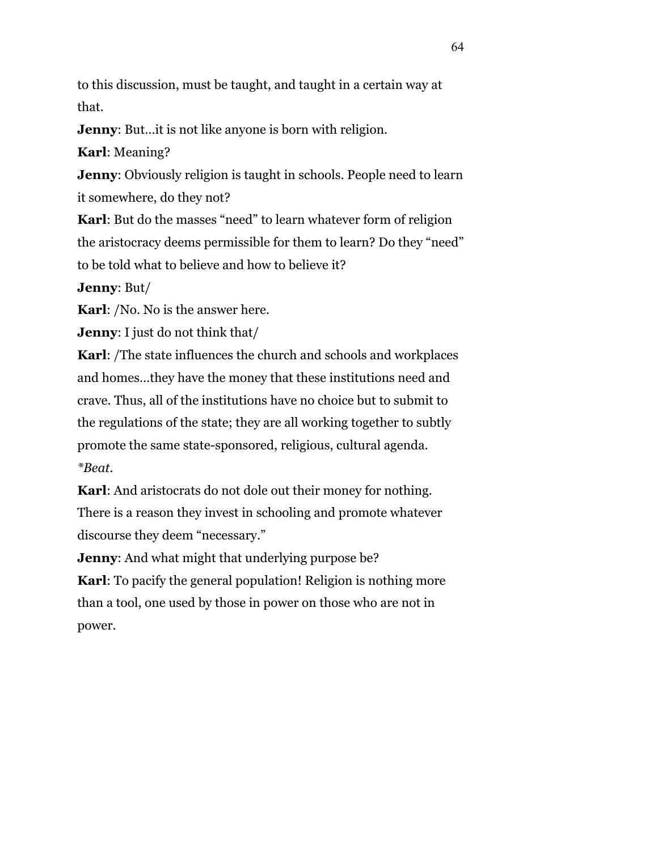to this discussion, must be taught, and taught in a certain way at that.

**Jenny:** But... it is not like anyone is born with religion.

**Karl**: Meaning?

**Jenny**: Obviously religion is taught in schools. People need to learn it somewhere, do they not?

**Karl**: But do the masses "need" to learn whatever form of religion the aristocracy deems permissible for them to learn? Do they "need" to be told what to believe and how to believe it?

**Jenny**: But/

**Karl**: /No. No is the answer here.

**Jenny**: I just do not think that/

**Karl**: /The state influences the church and schools and workplaces and homes…they have the money that these institutions need and crave. Thus, all of the institutions have no choice but to submit to the regulations of the state; they are all working together to subtly promote the same state-sponsored, religious, cultural agenda. *\*Beat.* 

**Karl**: And aristocrats do not dole out their money for nothing. There is a reason they invest in schooling and promote whatever discourse they deem "necessary."

**Jenny:** And what might that underlying purpose be? **Karl**: To pacify the general population! Religion is nothing more than a tool, one used by those in power on those who are not in power.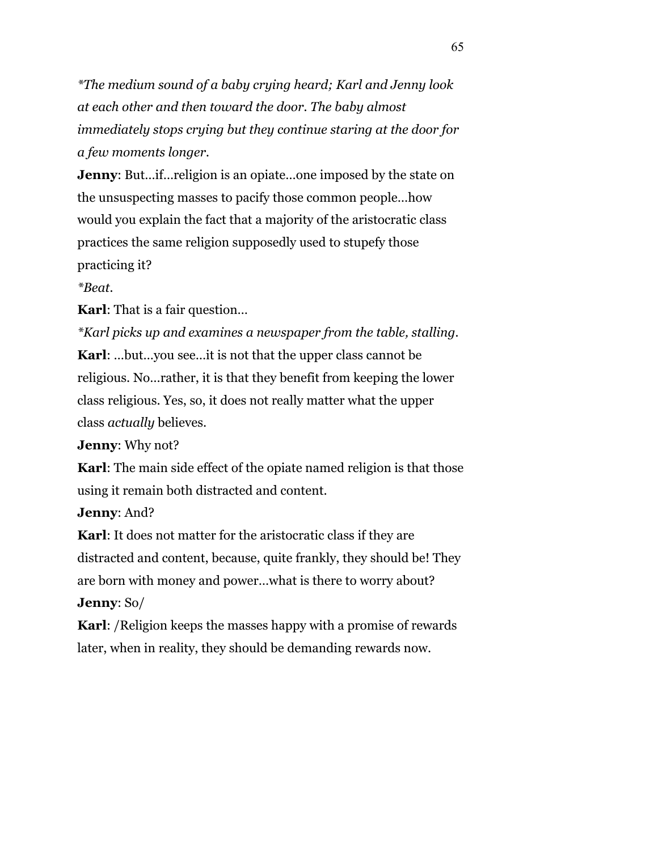*\*The medium sound of a baby crying heard; Karl and Jenny look at each other and then toward the door. The baby almost immediately stops crying but they continue staring at the door for a few moments longer.* 

**Jenny**: But...if... religion is an opiate...one imposed by the state on the unsuspecting masses to pacify those common people…how would you explain the fact that a majority of the aristocratic class practices the same religion supposedly used to stupefy those practicing it?

*\*Beat.* 

**Karl**: That is a fair question…

*\*Karl picks up and examines a newspaper from the table, stalling.*  **Karl**: …but…you see…it is not that the upper class cannot be religious. No…rather, it is that they benefit from keeping the lower class religious. Yes, so, it does not really matter what the upper class *actually* believes.

**Jenny**: Why not?

**Karl**: The main side effect of the opiate named religion is that those using it remain both distracted and content.

**Jenny**: And?

**Karl**: It does not matter for the aristocratic class if they are distracted and content, because, quite frankly, they should be! They are born with money and power…what is there to worry about? **Jenny**: So/

**Karl**: /Religion keeps the masses happy with a promise of rewards later, when in reality, they should be demanding rewards now.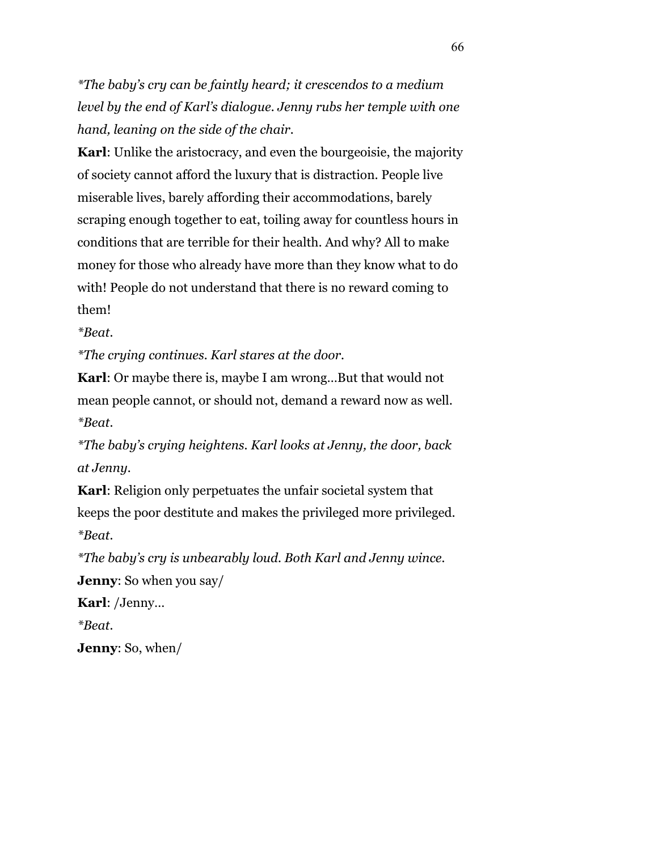*\*The baby's cry can be faintly heard; it crescendos to a medium level by the end of Karl's dialogue. Jenny rubs her temple with one hand, leaning on the side of the chair.* 

**Karl:** Unlike the aristocracy, and even the bourgeoisie, the majority of society cannot afford the luxury that is distraction. People live miserable lives, barely affording their accommodations, barely scraping enough together to eat, toiling away for countless hours in conditions that are terrible for their health. And why? All to make money for those who already have more than they know what to do with! People do not understand that there is no reward coming to them!

*\*Beat.* 

*\*The crying continues. Karl stares at the door.* 

**Karl**: Or maybe there is, maybe I am wrong…But that would not mean people cannot, or should not, demand a reward now as well. *\*Beat.* 

*\*The baby's crying heightens. Karl looks at Jenny, the door, back at Jenny.* 

**Karl**: Religion only perpetuates the unfair societal system that keeps the poor destitute and makes the privileged more privileged. *\*Beat.* 

*\*The baby's cry is unbearably loud. Both Karl and Jenny wince.*

**Jenny**: So when you say/

**Karl**: /Jenny…

*\*Beat.* 

**Jenny**: So, when/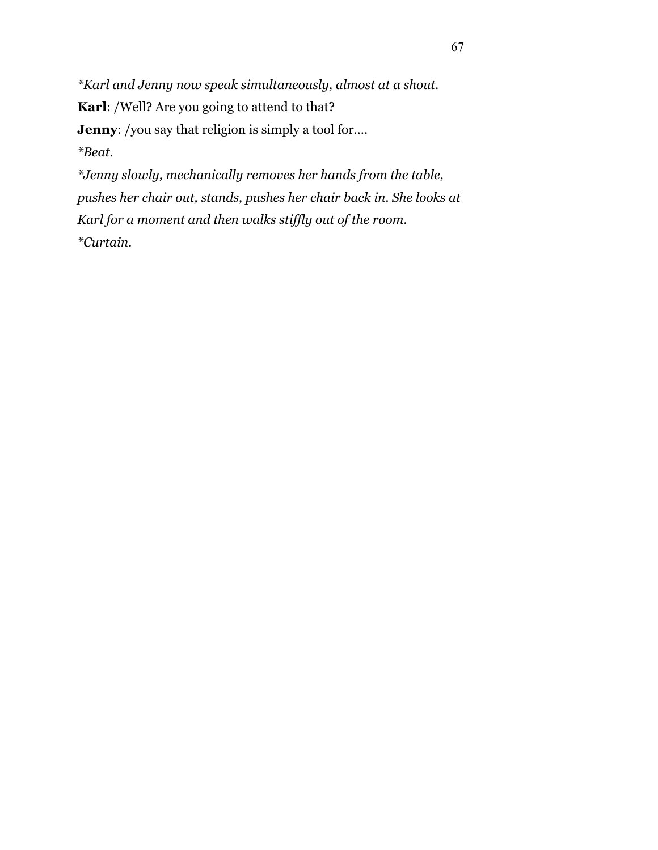*\*Karl and Jenny now speak simultaneously, almost at a shout.*  **Karl**: /Well? Are you going to attend to that? **Jenny:** /you say that religion is simply a tool for.... *\*Beat. \*Jenny slowly, mechanically removes her hands from the table,* 

*pushes her chair out, stands, pushes her chair back in. She looks at Karl for a moment and then walks stiffly out of the room. \*Curtain.*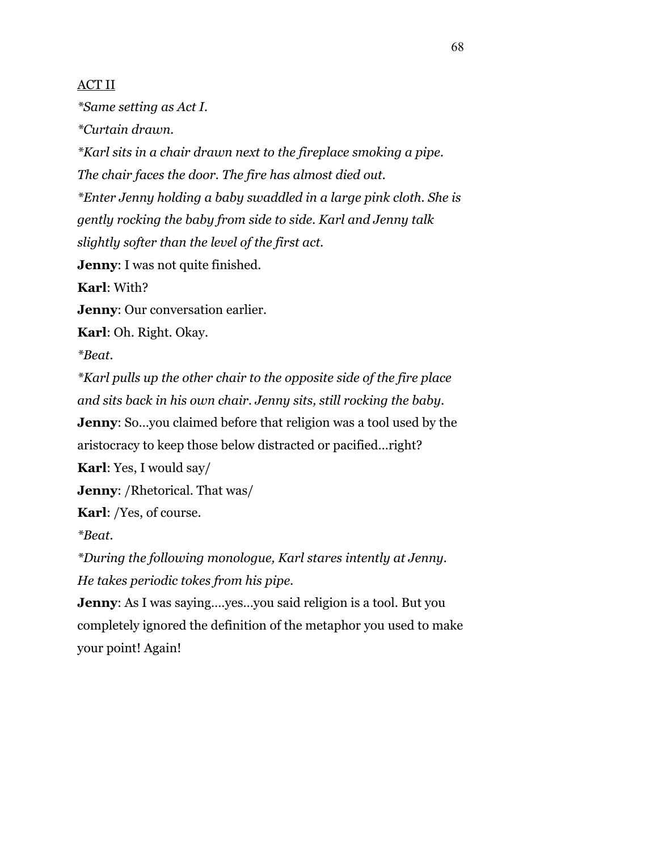## ACT II

*\*Same setting as Act I.* 

*\*Curtain drawn.* 

*\*Karl sits in a chair drawn next to the fireplace smoking a pipe.* 

*The chair faces the door. The fire has almost died out.* 

*\*Enter Jenny holding a baby swaddled in a large pink cloth. She is* 

*gently rocking the baby from side to side. Karl and Jenny talk* 

*slightly softer than the level of the first act.* 

**Jenny**: I was not quite finished.

**Karl**: With?

**Jenny**: Our conversation earlier.

**Karl**: Oh. Right. Okay.

*\*Beat.* 

*\*Karl pulls up the other chair to the opposite side of the fire place and sits back in his own chair. Jenny sits, still rocking the baby.* 

**Jenny**: So...you claimed before that religion was a tool used by the

aristocracy to keep those below distracted or pacified…right?

**Karl**: Yes, I would say/

**Jenny**: /Rhetorical. That was/

**Karl**: /Yes, of course.

*\*Beat.* 

*\*During the following monologue, Karl stares intently at Jenny. He takes periodic tokes from his pipe.* 

**Jenny**: As I was saying….yes…you said religion is a tool. But you completely ignored the definition of the metaphor you used to make your point! Again!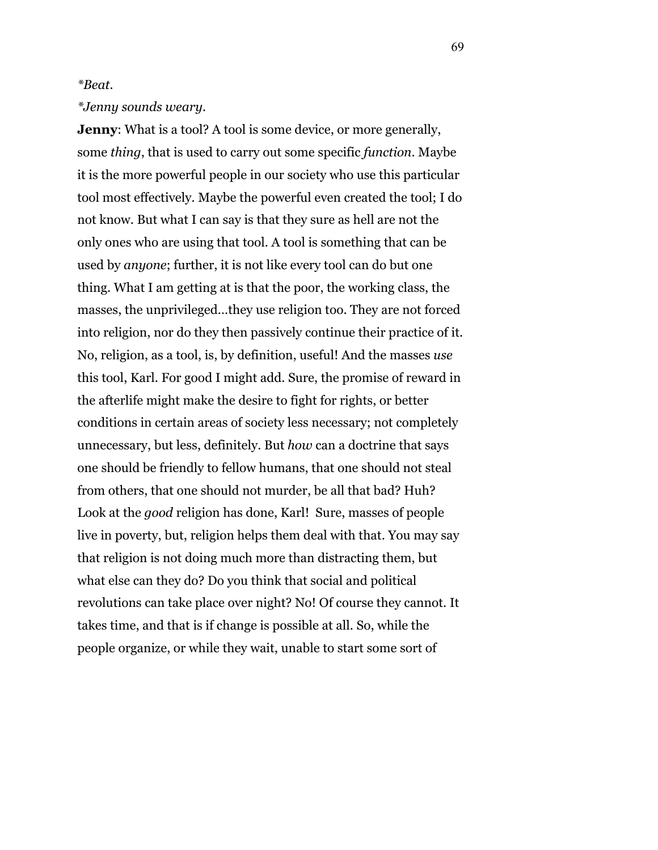## *\*Beat.*

## *\*Jenny sounds weary.*

**Jenny:** What is a tool? A tool is some device, or more generally, some *thing*, that is used to carry out some specific *function*. Maybe it is the more powerful people in our society who use this particular tool most effectively. Maybe the powerful even created the tool; I do not know. But what I can say is that they sure as hell are not the only ones who are using that tool. A tool is something that can be used by *anyone*; further, it is not like every tool can do but one thing. What I am getting at is that the poor, the working class, the masses, the unprivileged…they use religion too. They are not forced into religion, nor do they then passively continue their practice of it. No, religion, as a tool, is, by definition, useful! And the masses *use* this tool, Karl. For good I might add. Sure, the promise of reward in the afterlife might make the desire to fight for rights, or better conditions in certain areas of society less necessary; not completely unnecessary, but less, definitely. But *how* can a doctrine that says one should be friendly to fellow humans, that one should not steal from others, that one should not murder, be all that bad? Huh? Look at the *good* religion has done, Karl! Sure, masses of people live in poverty, but, religion helps them deal with that. You may say that religion is not doing much more than distracting them, but what else can they do? Do you think that social and political revolutions can take place over night? No! Of course they cannot. It takes time, and that is if change is possible at all. So, while the people organize, or while they wait, unable to start some sort of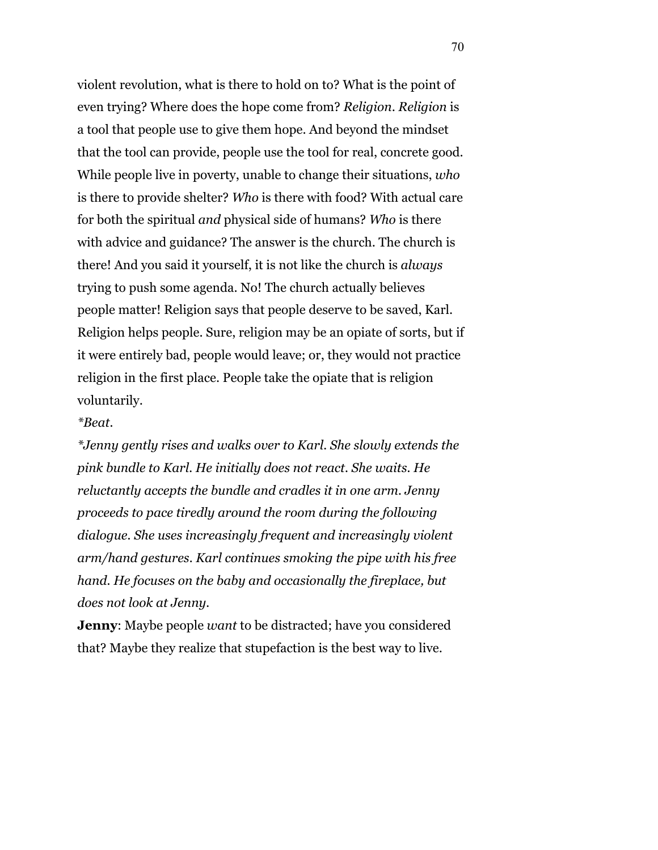violent revolution, what is there to hold on to? What is the point of even trying? Where does the hope come from? *Religion*. *Religion* is a tool that people use to give them hope. And beyond the mindset that the tool can provide, people use the tool for real, concrete good. While people live in poverty, unable to change their situations, *who* is there to provide shelter? *Who* is there with food? With actual care for both the spiritual *and* physical side of humans? *Who* is there with advice and guidance? The answer is the church. The church is there! And you said it yourself, it is not like the church is *always* trying to push some agenda. No! The church actually believes people matter! Religion says that people deserve to be saved, Karl. Religion helps people. Sure, religion may be an opiate of sorts, but if it were entirely bad, people would leave; or, they would not practice religion in the first place. People take the opiate that is religion voluntarily.

## *\*Beat.*

*\*Jenny gently rises and walks over to Karl. She slowly extends the pink bundle to Karl. He initially does not react. She waits. He reluctantly accepts the bundle and cradles it in one arm. Jenny proceeds to pace tiredly around the room during the following dialogue. She uses increasingly frequent and increasingly violent arm/hand gestures. Karl continues smoking the pipe with his free hand. He focuses on the baby and occasionally the fireplace, but does not look at Jenny.* 

**Jenny**: Maybe people *want* to be distracted; have you considered that? Maybe they realize that stupefaction is the best way to live.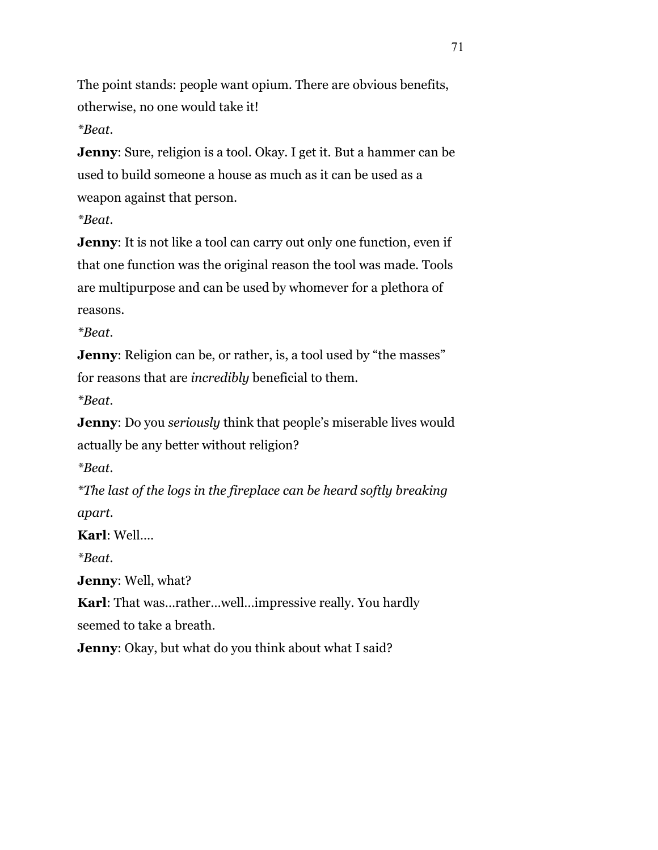The point stands: people want opium. There are obvious benefits, otherwise, no one would take it!

*\*Beat.* 

**Jenny**: Sure, religion is a tool. Okay. I get it. But a hammer can be used to build someone a house as much as it can be used as a weapon against that person.

*\*Beat.* 

**Jenny**: It is not like a tool can carry out only one function, even if that one function was the original reason the tool was made. Tools are multipurpose and can be used by whomever for a plethora of reasons.

*\*Beat.*

**Jenny:** Religion can be, or rather, is, a tool used by "the masses" for reasons that are *incredibly* beneficial to them.

*\*Beat.*

**Jenny**: Do you *seriously* think that people's miserable lives would actually be any better without religion?

*\*Beat.*

*\*The last of the logs in the fireplace can be heard softly breaking apart.* 

**Karl**: Well….

*\*Beat.* 

**Jenny**: Well, what?

**Karl**: That was…rather…well…impressive really. You hardly seemed to take a breath.

**Jenny**: Okay, but what do you think about what I said?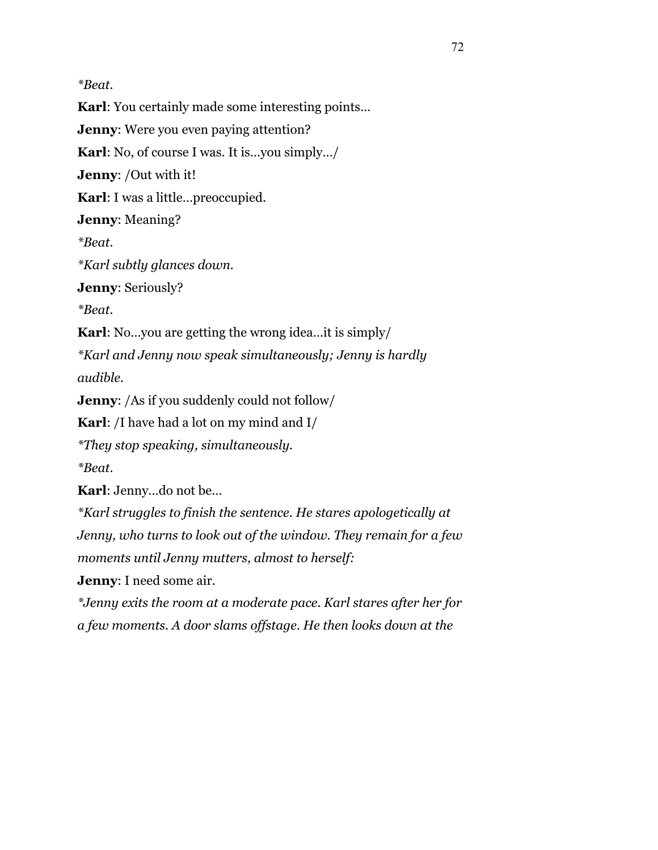*\*Beat.* 

**Karl**: You certainly made some interesting points… **Jenny**: Were you even paying attention? **Karl**: No, of course I was. It is…you simply…/ **Jenny**: /Out with it! **Karl**: I was a little…preoccupied. **Jenny**: Meaning? *\*Beat. \*Karl subtly glances down.*  **Jenny**: Seriously? *\*Beat.*  **Karl**: No…you are getting the wrong idea…it is simply/ *\*Karl and Jenny now speak simultaneously; Jenny is hardly audible.*  **Jenny**: /As if you suddenly could not follow/ **Karl**: /I have had a lot on my mind and I/ *\*They stop speaking, simultaneously. \*Beat.*  **Karl**: Jenny…do not be… *\*Karl struggles to finish the sentence. He stares apologetically at Jenny, who turns to look out of the window. They remain for a few moments until Jenny mutters, almost to herself:*  **Jenny**: I need some air.

*\*Jenny exits the room at a moderate pace. Karl stares after her for a few moments. A door slams offstage. He then looks down at the*